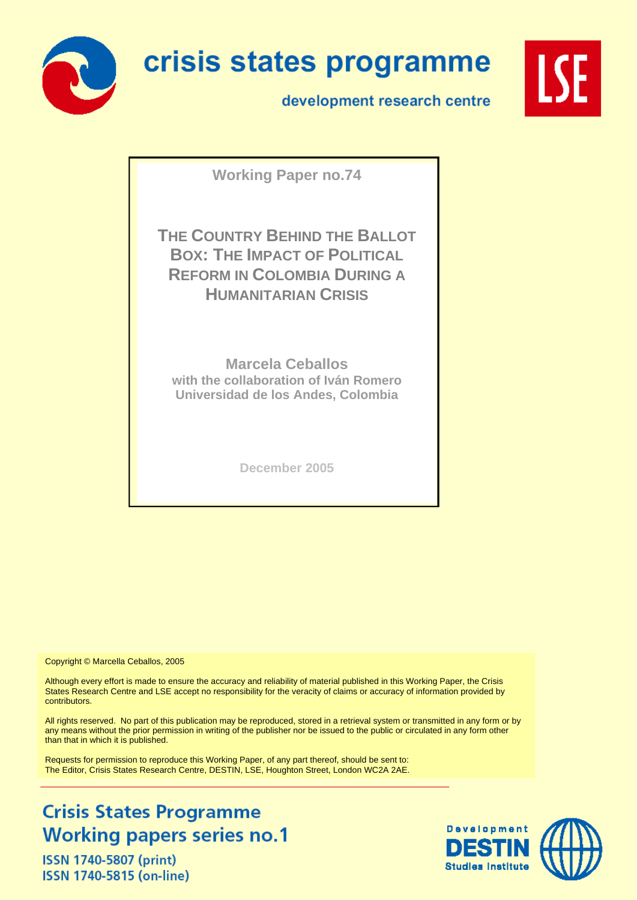

# crisis states programme

development research centre



**Working Paper no.74**

**THE COUNTRY BEHIND THE BALLOT BOX: THE IMPACT OF POLITICAL REFORM IN COLOMBIA DURING A HUMANITARIAN CRISIS**

**Marcela Ceballos with the collaboration of Iván Romero Universidad de los Andes, Colombia** 

**December 2005** 

Copyright © Marcella Ceballos, 2005

Although every effort is made to ensure the accuracy and reliability of material published in this Working Paper, the Crisis States Research Centre and LSE accept no responsibility for the veracity of claims or accuracy of information provided by contributors.

All rights reserved. No part of this publication may be reproduced, stored in a retrieval system or transmitted in any form or by any means without the prior permission in writing of the publisher nor be issued to the public or circulated in any form other than that in which it is published.

Requests for permission to reproduce this Working Paper, of any part thereof, should be sent to: The Editor, Crisis States Research Centre, DESTIN, LSE, Houghton Street, London WC2A 2AE.

# **Crisis States Programme Working papers series no.1**

**ISSN 1740-5807 (print)** ISSN 1740-5815 (on-line)

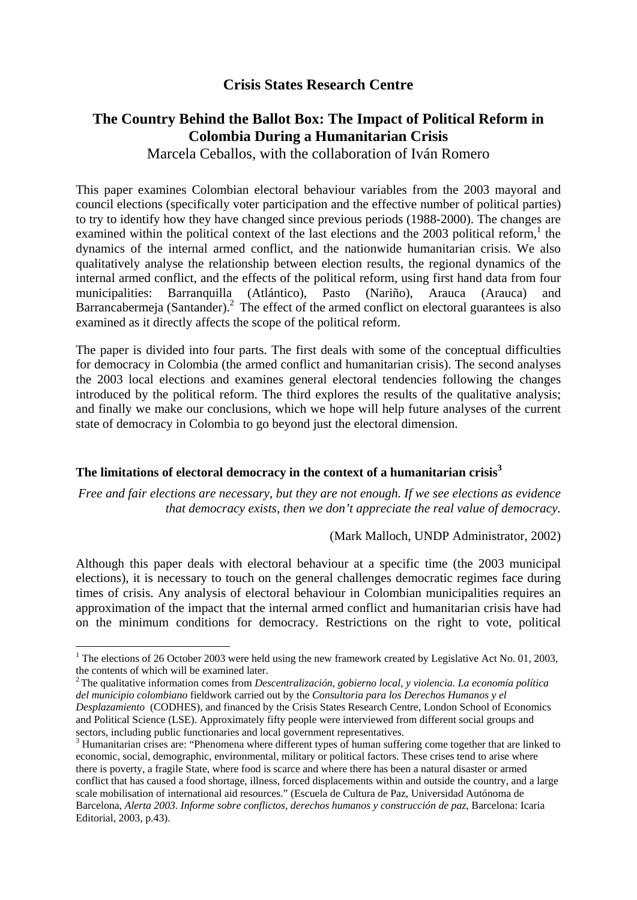# **Crisis States Research Centre**

# **The Country Behind the Ballot Box: The Impact of Political Reform in Colombia During a Humanitarian Crisis**

# Marcela Ceballos, with the collaboration of Iván Romero

This paper examines Colombian electoral behaviour variables from the 2003 mayoral and council elections (specifically voter participation and the effective number of political parties) to try to identify how they have changed since previous periods (1988-2000). The changes are examined within the political context of the last elections and the 2003 political reform,<sup>1</sup> the dynamics of the internal armed conflict, and the nationwide humanitarian crisis. We also qualitatively analyse the relationship between election results, the regional dynamics of the internal armed conflict, and the effects of the political reform, using first hand data from four municipalities: Barranquilla (Atlántico), Pasto (Nariño), Arauca (Arauca) and Barrancabermeja (Santander). $^2$  The effect of the armed conflict on electoral guarantees is also examined as it directly affects the scope of the political reform.

The paper is divided into four parts. The first deals with some of the conceptual difficulties for democracy in Colombia (the armed conflict and humanitarian crisis). The second analyses the 2003 local elections and examines general electoral tendencies following the changes introduced by the political reform. The third explores the results of the qualitative analysis; and finally we make our conclusions, which we hope will help future analyses of the current state of democracy in Colombia to go beyond just the electoral dimension.

## **The limitations of electoral democracy in the context of a humanitarian crisis3**

*Free and fair elections are necessary, but they are not enough. If we see elections as evidence that democracy exists, then we don't appreciate the real value of democracy.* 

(Mark Malloch, UNDP Administrator, 2002)

Although this paper deals with electoral behaviour at a specific time (the 2003 municipal elections), it is necessary to touch on the general challenges democratic regimes face during times of crisis. Any analysis of electoral behaviour in Colombian municipalities requires an approximation of the impact that the internal armed conflict and humanitarian crisis have had on the minimum conditions for democracy. Restrictions on the right to vote, political

<sup>&</sup>lt;sup>1</sup> The elections of 26 October 2003 were held using the new framework created by Legislative Act No. 01, 2003, the contents of which will be examined later.

<sup>2</sup> The qualitative information comes from *Descentralización, gobierno local, y violencia. La economía política del municipio colombiano* fieldwork carried out by the *Consultoria para los Derechos Humanos y el Desplazamiento* (CODHES), and financed by the Crisis States Research Centre, London School of Economics and Political Science (LSE). Approximately fifty people were interviewed from different social groups and sectors, including public functionaries and local government representatives.

<sup>&</sup>lt;sup>3</sup> Humanitarian crises are: "Phenomena where different types of human suffering come together that are linked to economic, social, demographic, environmental, military or political factors. These crises tend to arise where there is poverty, a fragile State, where food is scarce and where there has been a natural disaster or armed conflict that has caused a food shortage, illness, forced displacements within and outside the country, and a large scale mobilisation of international aid resources." (Escuela de Cultura de Paz, Universidad Autónoma de Barcelona, *Alerta 2003. Informe sobre conflictos, derechos humanos y construcción de paz*, Barcelona: Icaria Editorial, 2003, p.43).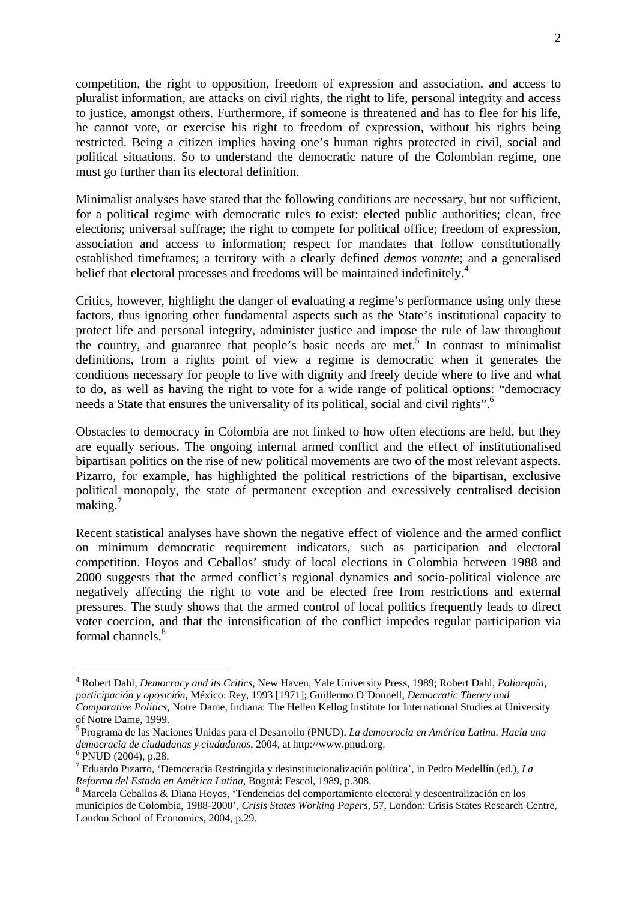competition, the right to opposition, freedom of expression and association, and access to pluralist information, are attacks on civil rights, the right to life, personal integrity and access to justice, amongst others. Furthermore, if someone is threatened and has to flee for his life, he cannot vote, or exercise his right to freedom of expression, without his rights being restricted. Being a citizen implies having one's human rights protected in civil, social and political situations. So to understand the democratic nature of the Colombian regime, one must go further than its electoral definition.

Minimalist analyses have stated that the following conditions are necessary, but not sufficient, for a political regime with democratic rules to exist: elected public authorities; clean, free elections; universal suffrage; the right to compete for political office; freedom of expression, association and access to information; respect for mandates that follow constitutionally established timeframes; a territory with a clearly defined *demos votante*; and a generalised belief that electoral processes and freedoms will be maintained indefinitely.<sup>4</sup>

Critics, however, highlight the danger of evaluating a regime's performance using only these factors, thus ignoring other fundamental aspects such as the State's institutional capacity to protect life and personal integrity, administer justice and impose the rule of law throughout the country, and guarantee that people's basic needs are met.<sup>5</sup> In contrast to minimalist definitions, from a rights point of view a regime is democratic when it generates the conditions necessary for people to live with dignity and freely decide where to live and what to do, as well as having the right to vote for a wide range of political options: "democracy needs a State that ensures the universality of its political, social and civil rights".<sup>6</sup>

Obstacles to democracy in Colombia are not linked to how often elections are held, but they are equally serious. The ongoing internal armed conflict and the effect of institutionalised bipartisan politics on the rise of new political movements are two of the most relevant aspects. Pizarro, for example, has highlighted the political restrictions of the bipartisan, exclusive political monopoly, the state of permanent exception and excessively centralised decision making.<sup>7</sup>

Recent statistical analyses have shown the negative effect of violence and the armed conflict on minimum democratic requirement indicators, such as participation and electoral competition. Hoyos and Ceballos' study of local elections in Colombia between 1988 and 2000 suggests that the armed conflict's regional dynamics and socio-political violence are negatively affecting the right to vote and be elected free from restrictions and external pressures. The study shows that the armed control of local politics frequently leads to direct voter coercion, and that the intensification of the conflict impedes regular participation via formal channels.<sup>8</sup>

<sup>4</sup> Robert Dahl, *Democracy and its Critics*, New Haven, Yale University Press, 1989; Robert Dahl, *Poliarquía, participación y oposición*, México: Rey, 1993 [1971]; Guillermo O'Donnell, *Democratic Theory and Comparative Politics*, Notre Dame, Indiana: The Hellen Kellog Institute for International Studies at University of Notre Dame, 1999.

<sup>5</sup> Programa de las Naciones Unidas para el Desarrollo (PNUD), *La democracia en América Latina. Hacía una democracia de ciudadanas y ciudadanos*, 2004, at http://www.pnud.org. 6

 $6$  PNUD (2004), p.28.

<sup>7</sup> Eduardo Pizarro, 'Democracia Restringida y desinstitucionalización política', in Pedro Medellín (ed.), *La Reforma del Estado en América Latina*, Bogotá: Fescol, 1989, p.308.

Marcela Ceballos & Diana Hoyos, 'Tendencias del comportamiento electoral y descentralización en los municipios de Colombia, 1988-2000', *Crisis States Working Papers*, 57, London: Crisis States Research Centre, London School of Economics, 2004, p.29.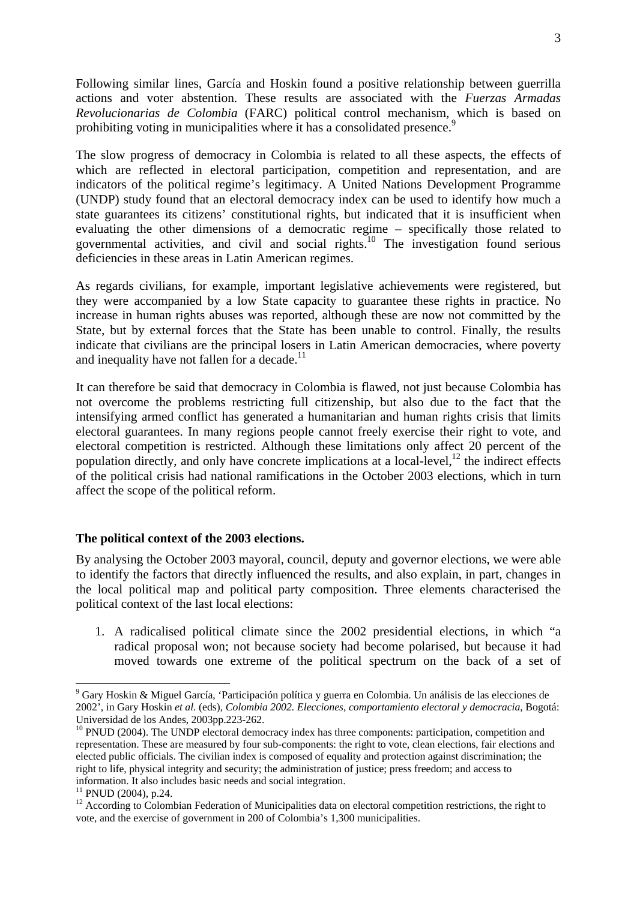Following similar lines, García and Hoskin found a positive relationship between guerrilla actions and voter abstention. These results are associated with the *Fuerzas Armadas Revolucionarias de Colombia* (FARC) political control mechanism, which is based on prohibiting voting in municipalities where it has a consolidated presence.<sup>9</sup>

The slow progress of democracy in Colombia is related to all these aspects, the effects of which are reflected in electoral participation, competition and representation, and are indicators of the political regime's legitimacy. A United Nations Development Programme (UNDP) study found that an electoral democracy index can be used to identify how much a state guarantees its citizens' constitutional rights, but indicated that it is insufficient when evaluating the other dimensions of a democratic regime – specifically those related to governmental activities, and civil and social rights.<sup>10</sup> The investigation found serious deficiencies in these areas in Latin American regimes.

As regards civilians, for example, important legislative achievements were registered, but they were accompanied by a low State capacity to guarantee these rights in practice. No increase in human rights abuses was reported, although these are now not committed by the State, but by external forces that the State has been unable to control. Finally, the results indicate that civilians are the principal losers in Latin American democracies, where poverty and inequality have not fallen for a decade.<sup>11</sup>

It can therefore be said that democracy in Colombia is flawed, not just because Colombia has not overcome the problems restricting full citizenship, but also due to the fact that the intensifying armed conflict has generated a humanitarian and human rights crisis that limits electoral guarantees. In many regions people cannot freely exercise their right to vote, and electoral competition is restricted. Although these limitations only affect 20 percent of the population directly, and only have concrete implications at a local-level, $^{12}$  the indirect effects of the political crisis had national ramifications in the October 2003 elections, which in turn affect the scope of the political reform.

## **The political context of the 2003 elections.**

By analysing the October 2003 mayoral, council, deputy and governor elections, we were able to identify the factors that directly influenced the results, and also explain, in part, changes in the local political map and political party composition. Three elements characterised the political context of the last local elections:

1. A radicalised political climate since the 2002 presidential elections, in which "a radical proposal won; not because society had become polarised, but because it had moved towards one extreme of the political spectrum on the back of a set of

<sup>9</sup> Gary Hoskin & Miguel García, 'Participación política y guerra en Colombia. Un análisis de las elecciones de 2002', in Gary Hoskin *et al.* (eds), *Colombia 2002. Elecciones, comportamiento electoral y democracia*, Bogotá: Universidad de los Andes, 2003pp.223-262.

<sup>&</sup>lt;sup>10</sup> PNUD (2004). The UNDP electoral democracy index has three components: participation, competition and representation. These are measured by four sub-components: the right to vote, clean elections, fair elections and elected public officials. The civilian index is composed of equality and protection against discrimination; the right to life, physical integrity and security; the administration of justice; press freedom; and access to information. It also includes basic needs and social integration.

 $11$  PNUD (2004), p.24.

<sup>&</sup>lt;sup>12</sup> According to Colombian Federation of Municipalities data on electoral competition restrictions, the right to vote, and the exercise of government in 200 of Colombia's 1,300 municipalities.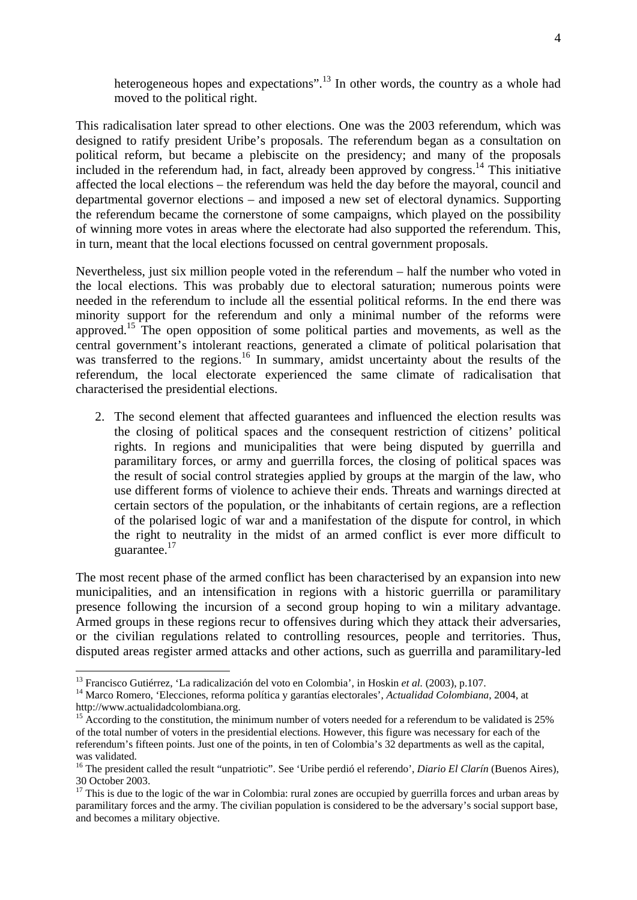heterogeneous hopes and expectations".<sup>13</sup> In other words, the country as a whole had moved to the political right.

This radicalisation later spread to other elections. One was the 2003 referendum, which was designed to ratify president Uribe's proposals. The referendum began as a consultation on political reform, but became a plebiscite on the presidency; and many of the proposals included in the referendum had, in fact, already been approved by congress.<sup>14</sup> This initiative affected the local elections – the referendum was held the day before the mayoral, council and departmental governor elections – and imposed a new set of electoral dynamics. Supporting the referendum became the cornerstone of some campaigns, which played on the possibility of winning more votes in areas where the electorate had also supported the referendum. This, in turn, meant that the local elections focussed on central government proposals.

Nevertheless, just six million people voted in the referendum – half the number who voted in the local elections. This was probably due to electoral saturation; numerous points were needed in the referendum to include all the essential political reforms. In the end there was minority support for the referendum and only a minimal number of the reforms were approved.15 The open opposition of some political parties and movements, as well as the central government's intolerant reactions, generated a climate of political polarisation that was transferred to the regions.<sup>16</sup> In summary, amidst uncertainty about the results of the referendum, the local electorate experienced the same climate of radicalisation that characterised the presidential elections.

2. The second element that affected guarantees and influenced the election results was the closing of political spaces and the consequent restriction of citizens' political rights. In regions and municipalities that were being disputed by guerrilla and paramilitary forces, or army and guerrilla forces, the closing of political spaces was the result of social control strategies applied by groups at the margin of the law, who use different forms of violence to achieve their ends. Threats and warnings directed at certain sectors of the population, or the inhabitants of certain regions, are a reflection of the polarised logic of war and a manifestation of the dispute for control, in which the right to neutrality in the midst of an armed conflict is ever more difficult to guarantee.<sup>17</sup>

The most recent phase of the armed conflict has been characterised by an expansion into new municipalities, and an intensification in regions with a historic guerrilla or paramilitary presence following the incursion of a second group hoping to win a military advantage. Armed groups in these regions recur to offensives during which they attack their adversaries, or the civilian regulations related to controlling resources, people and territories. Thus, disputed areas register armed attacks and other actions, such as guerrilla and paramilitary-led

<sup>&</sup>lt;sup>13</sup> Francisco Gutiérrez, 'La radicalización del voto en Colombia', in Hoskin et al. (2003), p.107.

<sup>&</sup>lt;sup>14</sup> Marco Romero, 'Elecciones, reforma política y garantías electorales', *Actualidad Colombiana*, 2004, at http://www.actualidadcolombiana.org.

<sup>&</sup>lt;sup>15</sup> According to the constitution, the minimum number of voters needed for a referendum to be validated is 25% of the total number of voters in the presidential elections. However, this figure was necessary for each of the referendum's fifteen points. Just one of the points, in ten of Colombia's 32 departments as well as the capital, was validated.

<sup>16</sup> The president called the result "unpatriotic". See 'Uribe perdió el referendo', *Diario El Clarín* (Buenos Aires), 30 October 2003.

 $17$  This is due to the logic of the war in Colombia: rural zones are occupied by guerrilla forces and urban areas by paramilitary forces and the army. The civilian population is considered to be the adversary's social support base, and becomes a military objective.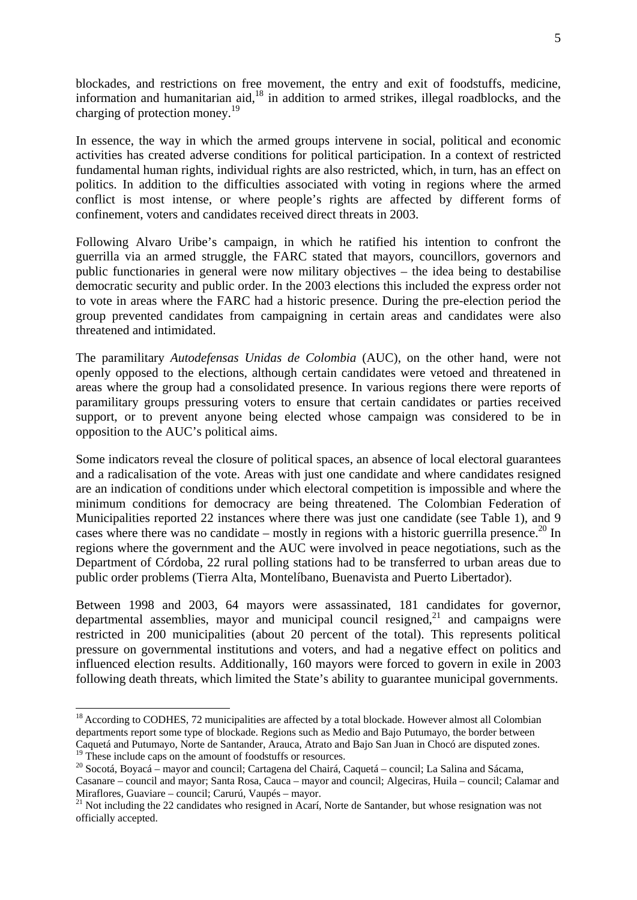blockades, and restrictions on free movement, the entry and exit of foodstuffs, medicine, information and humanitarian aid, $^{18}$  in addition to armed strikes, illegal roadblocks, and the charging of protection money.<sup>19</sup>

In essence, the way in which the armed groups intervene in social, political and economic activities has created adverse conditions for political participation. In a context of restricted fundamental human rights, individual rights are also restricted, which, in turn, has an effect on politics. In addition to the difficulties associated with voting in regions where the armed conflict is most intense, or where people's rights are affected by different forms of confinement, voters and candidates received direct threats in 2003.

Following Alvaro Uribe's campaign, in which he ratified his intention to confront the guerrilla via an armed struggle, the FARC stated that mayors, councillors, governors and public functionaries in general were now military objectives – the idea being to destabilise democratic security and public order. In the 2003 elections this included the express order not to vote in areas where the FARC had a historic presence. During the pre-election period the group prevented candidates from campaigning in certain areas and candidates were also threatened and intimidated.

The paramilitary *Autodefensas Unidas de Colombia* (AUC), on the other hand, were not openly opposed to the elections, although certain candidates were vetoed and threatened in areas where the group had a consolidated presence. In various regions there were reports of paramilitary groups pressuring voters to ensure that certain candidates or parties received support, or to prevent anyone being elected whose campaign was considered to be in opposition to the AUC's political aims.

Some indicators reveal the closure of political spaces, an absence of local electoral guarantees and a radicalisation of the vote. Areas with just one candidate and where candidates resigned are an indication of conditions under which electoral competition is impossible and where the minimum conditions for democracy are being threatened. The Colombian Federation of Municipalities reported 22 instances where there was just one candidate (see Table 1), and 9 cases where there was no candidate – mostly in regions with a historic guerrilla presence.<sup>20</sup> In regions where the government and the AUC were involved in peace negotiations, such as the Department of Córdoba, 22 rural polling stations had to be transferred to urban areas due to public order problems (Tierra Alta, Montelíbano, Buenavista and Puerto Libertador).

Between 1998 and 2003, 64 mayors were assassinated, 181 candidates for governor, departmental assemblies, mayor and municipal council resigned, $2<sup>1</sup>$  and campaigns were restricted in 200 municipalities (about 20 percent of the total). This represents political pressure on governmental institutions and voters, and had a negative effect on politics and influenced election results. Additionally, 160 mayors were forced to govern in exile in 2003 following death threats, which limited the State's ability to guarantee municipal governments.

<sup>&</sup>lt;sup>18</sup> According to CODHES, 72 municipalities are affected by a total blockade. However almost all Colombian departments report some type of blockade. Regions such as Medio and Bajo Putumayo, the border between Caquetá and Putumayo, Norte de Santander, Arauca, Atrato and Bajo San Juan in Chocó are disputed zones.

<sup>&</sup>lt;sup>19</sup> These include caps on the amount of foodstuffs or resources.<br><sup>20</sup> Socotá, Boyacá – mayor and council; Cartagena del Chairá, Caquetá – council; La Salina and Sácama, Casanare – council and mayor; Santa Rosa, Cauca – mayor and council; Algeciras, Huila – council; Calamar and Miraflores, Guaviare – council; Carurú, Vaupés – mayor.

<sup>&</sup>lt;sup>21</sup> Not including the 22 candidates who resigned in Acarí, Norte de Santander, but whose resignation was not officially accepted.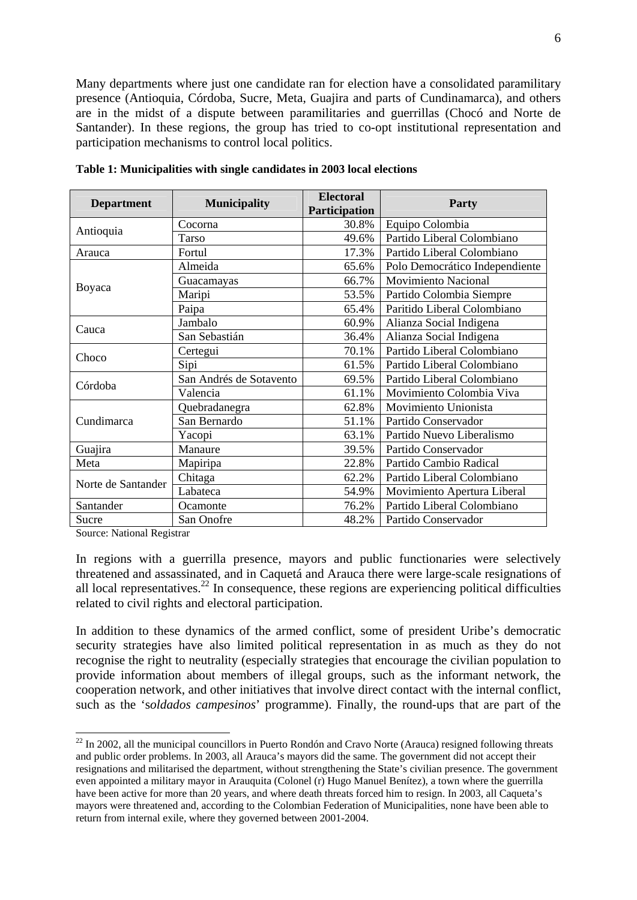Many departments where just one candidate ran for election have a consolidated paramilitary presence (Antioquia, Córdoba, Sucre, Meta, Guajira and parts of Cundinamarca), and others are in the midst of a dispute between paramilitaries and guerrillas (Chocó and Norte de Santander). In these regions, the group has tried to co-opt institutional representation and participation mechanisms to control local politics.

| <b>Department</b>  | <b>Municipality</b>     | <b>Electoral</b><br>Participation | <b>Party</b>                   |
|--------------------|-------------------------|-----------------------------------|--------------------------------|
|                    | Cocorna                 | 30.8%                             | Equipo Colombia                |
| Antioquia          | Tarso                   | 49.6%                             | Partido Liberal Colombiano     |
| Arauca             | Fortul                  | 17.3%                             | Partido Liberal Colombiano     |
|                    | Almeida                 | 65.6%                             | Polo Democrático Independiente |
|                    | Guacamayas              | 66.7%                             | <b>Movimiento Nacional</b>     |
| Boyaca             | Maripi                  | 53.5%                             | Partido Colombia Siempre       |
|                    | Paipa                   | 65.4%                             | Paritido Liberal Colombiano    |
| Cauca              | Jambalo                 | 60.9%                             | Alianza Social Indigena        |
|                    | San Sebastián           | 36.4%                             | Alianza Social Indigena        |
| Choco              | Certegui                | 70.1%                             | Partido Liberal Colombiano     |
|                    | Sipi                    | 61.5%                             | Partido Liberal Colombiano     |
| Córdoba            | San Andrés de Sotavento | 69.5%                             | Partido Liberal Colombiano     |
|                    | Valencia                | 61.1%                             | Movimiento Colombia Viva       |
|                    | Quebradanegra           | 62.8%                             | Movimiento Unionista           |
| Cundimarca         | San Bernardo            | 51.1%                             | Partido Conservador            |
|                    | Yacopi                  | 63.1%                             | Partido Nuevo Liberalismo      |
| Guajira            | Manaure                 | 39.5%                             | Partido Conservador            |
| Meta               | Mapiripa                | 22.8%                             | Partido Cambio Radical         |
| Norte de Santander | Chitaga                 | 62.2%                             | Partido Liberal Colombiano     |
|                    | Labateca                | 54.9%                             | Movimiento Apertura Liberal    |
| Santander          | Ocamonte                | 76.2%                             | Partido Liberal Colombiano     |
| Sucre              | San Onofre              | 48.2%                             | Partido Conservador            |

**Table 1: Municipalities with single candidates in 2003 local elections** 

Source: National Registrar

 $\overline{a}$ 

In regions with a guerrilla presence, mayors and public functionaries were selectively threatened and assassinated, and in Caquetá and Arauca there were large-scale resignations of all local representatives.<sup>22</sup> In consequence, these regions are experiencing political difficulties related to civil rights and electoral participation.

In addition to these dynamics of the armed conflict, some of president Uribe's democratic security strategies have also limited political representation in as much as they do not recognise the right to neutrality (especially strategies that encourage the civilian population to provide information about members of illegal groups, such as the informant network, the cooperation network, and other initiatives that involve direct contact with the internal conflict, such as the 's*oldados campesinos*' programme). Finally, the round-ups that are part of the

 $^{22}$  In 2002, all the municipal councillors in Puerto Rondón and Cravo Norte (Arauca) resigned following threats and public order problems. In 2003, all Arauca's mayors did the same. The government did not accept their resignations and militarised the department, without strengthening the State's civilian presence. The government even appointed a military mayor in Arauquita (Colonel (r) Hugo Manuel Benítez), a town where the guerrilla have been active for more than 20 years, and where death threats forced him to resign. In 2003, all Caqueta's mayors were threatened and, according to the Colombian Federation of Municipalities, none have been able to return from internal exile, where they governed between 2001-2004.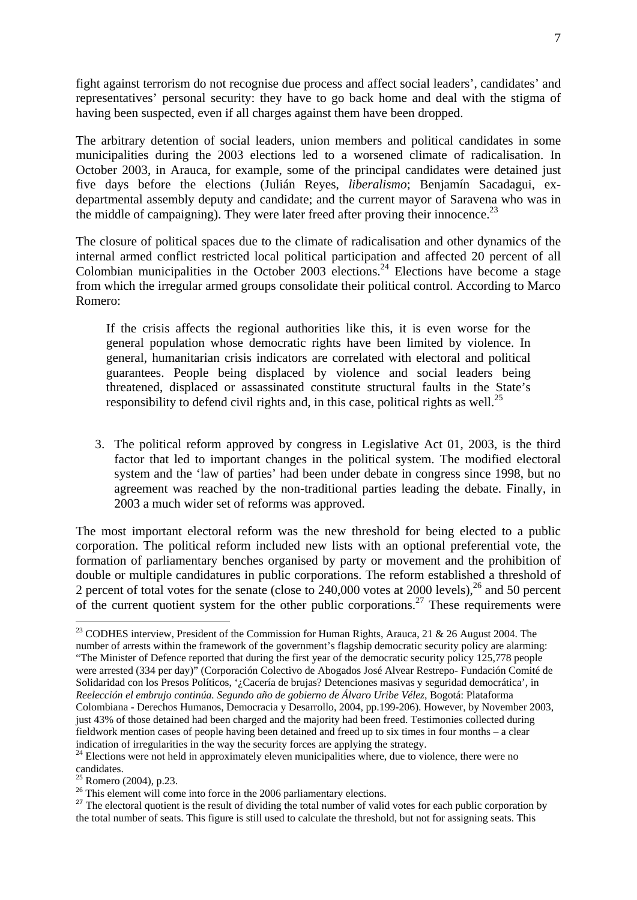fight against terrorism do not recognise due process and affect social leaders', candidates' and representatives' personal security: they have to go back home and deal with the stigma of having been suspected, even if all charges against them have been dropped.

The arbitrary detention of social leaders, union members and political candidates in some municipalities during the 2003 elections led to a worsened climate of radicalisation. In October 2003, in Arauca, for example, some of the principal candidates were detained just five days before the elections (Julián Reyes, *liberalismo*; Benjamín Sacadagui, exdepartmental assembly deputy and candidate; and the current mayor of Saravena who was in the middle of campaigning). They were later freed after proving their innocence.<sup>23</sup>

The closure of political spaces due to the climate of radicalisation and other dynamics of the internal armed conflict restricted local political participation and affected 20 percent of all Colombian municipalities in the October 2003 elections.<sup>24</sup> Elections have become a stage from which the irregular armed groups consolidate their political control. According to Marco Romero:

If the crisis affects the regional authorities like this, it is even worse for the general population whose democratic rights have been limited by violence. In general, humanitarian crisis indicators are correlated with electoral and political guarantees. People being displaced by violence and social leaders being threatened, displaced or assassinated constitute structural faults in the State's responsibility to defend civil rights and, in this case, political rights as well.<sup>25</sup>

3. The political reform approved by congress in Legislative Act 01, 2003, is the third factor that led to important changes in the political system. The modified electoral system and the 'law of parties' had been under debate in congress since 1998, but no agreement was reached by the non-traditional parties leading the debate. Finally, in 2003 a much wider set of reforms was approved.

The most important electoral reform was the new threshold for being elected to a public corporation. The political reform included new lists with an optional preferential vote, the formation of parliamentary benches organised by party or movement and the prohibition of double or multiple candidatures in public corporations. The reform established a threshold of 2 percent of total votes for the senate (close to  $240,000$  votes at  $2000$  levels),<sup>26</sup> and 50 percent of the current quotient system for the other public corporations.<sup>27</sup> These requirements were

<sup>&</sup>lt;sup>23</sup> CODHES interview, President of the Commission for Human Rights, Arauca, 21 & 26 August 2004. The number of arrests within the framework of the government's flagship democratic security policy are alarming: "The Minister of Defence reported that during the first year of the democratic security policy 125,778 people were arrested (334 per day)" (Corporación Colectivo de Abogados José Alvear Restrepo- Fundación Comité de Solidaridad con los Presos Políticos, '¿Cacería de brujas? Detenciones masivas y seguridad democrática', in *Reelección el embrujo continúa. Segundo año de gobierno de Álvaro Uribe Vélez*, Bogotá: Plataforma Colombiana - Derechos Humanos, Democracia y Desarrollo, 2004, pp.199-206). However, by November 2003, just 43% of those detained had been charged and the majority had been freed. Testimonies collected during fieldwork mention cases of people having been detained and freed up to six times in four months – a clear indication of irregularities in the way the security forces are applying the strategy.

<sup>&</sup>lt;sup>24</sup> Elections were not held in approximately eleven municipalities where, due to violence, there were no candidates.

 $25$  Romero (2004), p.23.

<sup>&</sup>lt;sup>26</sup> This element will come into force in the 2006 parliamentary elections.

<sup>&</sup>lt;sup>27</sup> The electoral quotient is the result of dividing the total number of valid votes for each public corporation by the total number of seats. This figure is still used to calculate the threshold, but not for assigning seats. This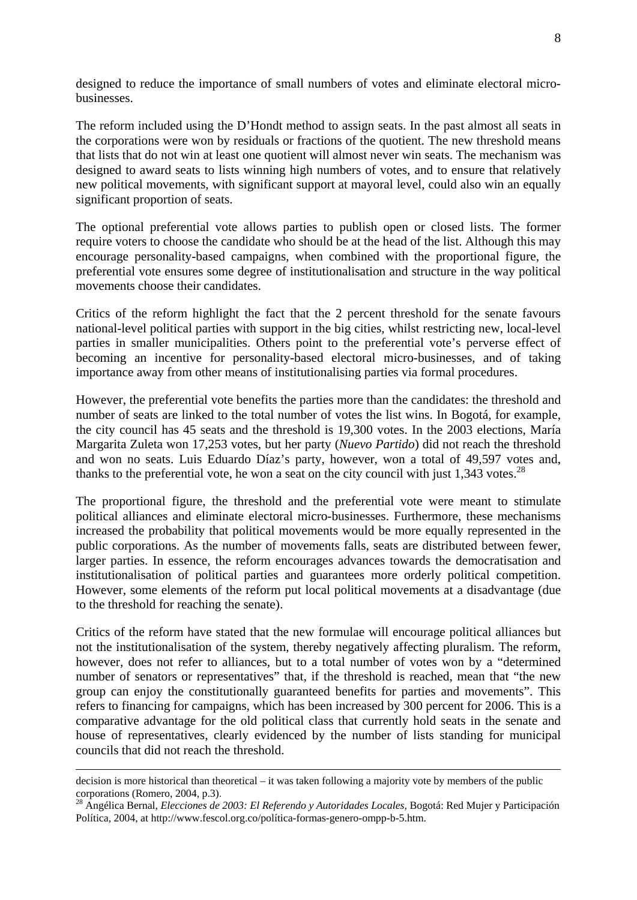designed to reduce the importance of small numbers of votes and eliminate electoral microbusinesses.

The reform included using the D'Hondt method to assign seats. In the past almost all seats in the corporations were won by residuals or fractions of the quotient. The new threshold means that lists that do not win at least one quotient will almost never win seats. The mechanism was designed to award seats to lists winning high numbers of votes, and to ensure that relatively new political movements, with significant support at mayoral level, could also win an equally significant proportion of seats.

The optional preferential vote allows parties to publish open or closed lists. The former require voters to choose the candidate who should be at the head of the list. Although this may encourage personality-based campaigns, when combined with the proportional figure, the preferential vote ensures some degree of institutionalisation and structure in the way political movements choose their candidates.

Critics of the reform highlight the fact that the 2 percent threshold for the senate favours national-level political parties with support in the big cities, whilst restricting new, local-level parties in smaller municipalities. Others point to the preferential vote's perverse effect of becoming an incentive for personality-based electoral micro-businesses, and of taking importance away from other means of institutionalising parties via formal procedures.

However, the preferential vote benefits the parties more than the candidates: the threshold and number of seats are linked to the total number of votes the list wins. In Bogotá, for example, the city council has 45 seats and the threshold is 19,300 votes. In the 2003 elections, María Margarita Zuleta won 17,253 votes, but her party (*Nuevo Partido*) did not reach the threshold and won no seats. Luis Eduardo Díaz's party, however, won a total of 49,597 votes and, thanks to the preferential vote, he won a seat on the city council with just 1,343 votes.<sup>28</sup>

The proportional figure, the threshold and the preferential vote were meant to stimulate political alliances and eliminate electoral micro-businesses. Furthermore, these mechanisms increased the probability that political movements would be more equally represented in the public corporations. As the number of movements falls, seats are distributed between fewer, larger parties. In essence, the reform encourages advances towards the democratisation and institutionalisation of political parties and guarantees more orderly political competition. However, some elements of the reform put local political movements at a disadvantage (due to the threshold for reaching the senate).

Critics of the reform have stated that the new formulae will encourage political alliances but not the institutionalisation of the system, thereby negatively affecting pluralism. The reform, however, does not refer to alliances, but to a total number of votes won by a "determined number of senators or representatives" that, if the threshold is reached, mean that "the new group can enjoy the constitutionally guaranteed benefits for parties and movements". This refers to financing for campaigns, which has been increased by 300 percent for 2006. This is a comparative advantage for the old political class that currently hold seats in the senate and house of representatives, clearly evidenced by the number of lists standing for municipal councils that did not reach the threshold.

 $\overline{a}$ 

decision is more historical than theoretical – it was taken following a majority vote by members of the public corporations (Romero, 2004, p.3).<br><sup>28</sup> Angélica Bernal, *Elecciones de 2003: El Referendo y Autoridades Locales*, Bogotá: Red Mujer y Participación

Política, 2004, at http://www.fescol.org.co/política-formas-genero-ompp-b-5.htm.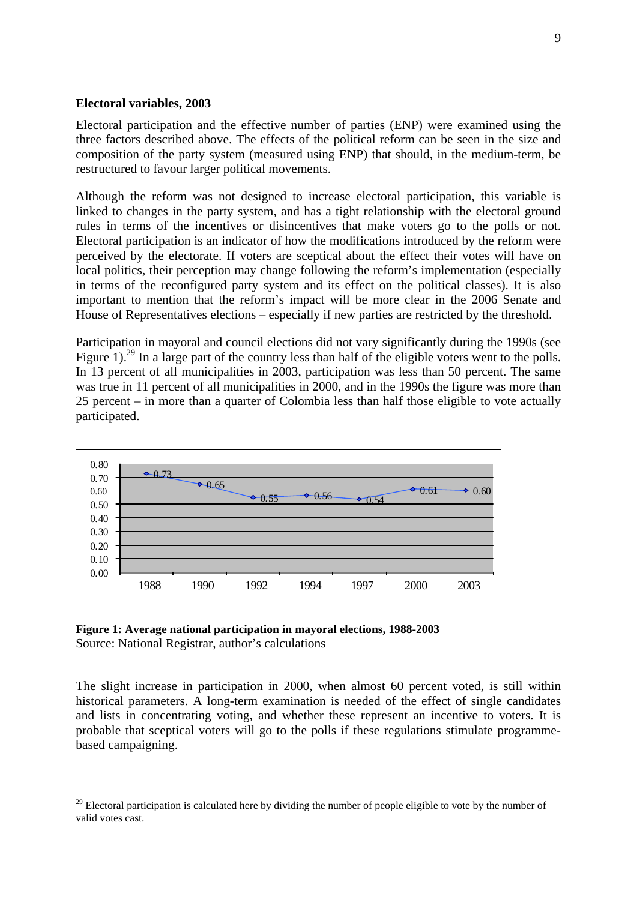#### **Electoral variables, 2003**

-

Electoral participation and the effective number of parties (ENP) were examined using the three factors described above. The effects of the political reform can be seen in the size and composition of the party system (measured using ENP) that should, in the medium-term, be restructured to favour larger political movements.

Although the reform was not designed to increase electoral participation, this variable is linked to changes in the party system, and has a tight relationship with the electoral ground rules in terms of the incentives or disincentives that make voters go to the polls or not. Electoral participation is an indicator of how the modifications introduced by the reform were perceived by the electorate. If voters are sceptical about the effect their votes will have on local politics, their perception may change following the reform's implementation (especially in terms of the reconfigured party system and its effect on the political classes). It is also important to mention that the reform's impact will be more clear in the 2006 Senate and House of Representatives elections – especially if new parties are restricted by the threshold.

Participation in mayoral and council elections did not vary significantly during the 1990s (see Figure 1).<sup>29</sup> In a large part of the country less than half of the eligible voters went to the polls. In 13 percent of all municipalities in 2003, participation was less than 50 percent. The same was true in 11 percent of all municipalities in 2000, and in the 1990s the figure was more than 25 percent – in more than a quarter of Colombia less than half those eligible to vote actually participated.



**Figure 1: Average national participation in mayoral elections, 1988-2003** Source: National Registrar, author's calculations

The slight increase in participation in 2000, when almost 60 percent voted, is still within historical parameters. A long-term examination is needed of the effect of single candidates and lists in concentrating voting, and whether these represent an incentive to voters. It is probable that sceptical voters will go to the polls if these regulations stimulate programmebased campaigning.

<sup>&</sup>lt;sup>29</sup> Electoral participation is calculated here by dividing the number of people eligible to vote by the number of valid votes cast.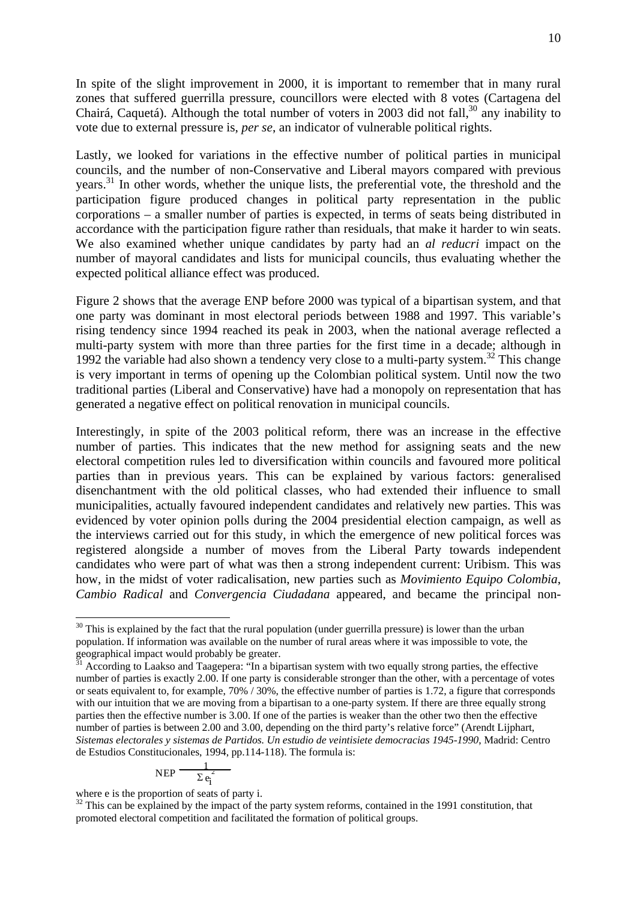In spite of the slight improvement in 2000, it is important to remember that in many rural zones that suffered guerrilla pressure, councillors were elected with 8 votes (Cartagena del Chairá, Caquetá). Although the total number of voters in 2003 did not fall,<sup>30</sup> any inability to vote due to external pressure is, *per se*, an indicator of vulnerable political rights.

Lastly, we looked for variations in the effective number of political parties in municipal councils, and the number of non-Conservative and Liberal mayors compared with previous years.<sup>31</sup> In other words, whether the unique lists, the preferential vote, the threshold and the participation figure produced changes in political party representation in the public corporations – a smaller number of parties is expected, in terms of seats being distributed in accordance with the participation figure rather than residuals, that make it harder to win seats. We also examined whether unique candidates by party had an *al reducri* impact on the number of mayoral candidates and lists for municipal councils, thus evaluating whether the expected political alliance effect was produced.

Figure 2 shows that the average ENP before 2000 was typical of a bipartisan system, and that one party was dominant in most electoral periods between 1988 and 1997. This variable's rising tendency since 1994 reached its peak in 2003, when the national average reflected a multi-party system with more than three parties for the first time in a decade; although in 1992 the variable had also shown a tendency very close to a multi-party system.<sup>32</sup> This change is very important in terms of opening up the Colombian political system. Until now the two traditional parties (Liberal and Conservative) have had a monopoly on representation that has generated a negative effect on political renovation in municipal councils.

Interestingly, in spite of the 2003 political reform, there was an increase in the effective number of parties. This indicates that the new method for assigning seats and the new electoral competition rules led to diversification within councils and favoured more political parties than in previous years. This can be explained by various factors: generalised disenchantment with the old political classes, who had extended their influence to small municipalities, actually favoured independent candidates and relatively new parties. This was evidenced by voter opinion polls during the 2004 presidential election campaign, as well as the interviews carried out for this study, in which the emergence of new political forces was registered alongside a number of moves from the Liberal Party towards independent candidates who were part of what was then a strong independent current: Uribism. This was how, in the midst of voter radicalisation, new parties such as *Movimiento Equipo Colombia*, *Cambio Radical* and *Convergencia Ciudadana* appeared, and became the principal non-

$$
\text{NEP} \frac{1}{\sum e_i^2}
$$

where e is the proportion of seats of party i.

<sup>&</sup>lt;sup>30</sup> This is explained by the fact that the rural population (under guerrilla pressure) is lower than the urban population. If information was available on the number of rural areas where it was impossible to vote, the geographical impact would probably be greater.

<sup>31</sup> According to Laakso and Taagepera: "In a bipartisan system with two equally strong parties, the effective number of parties is exactly 2.00. If one party is considerable stronger than the other, with a percentage of votes or seats equivalent to, for example,  $70\%$  / 30%, the effective number of parties is 1.72, a figure that corresponds with our intuition that we are moving from a bipartisan to a one-party system. If there are three equally strong parties then the effective number is 3.00. If one of the parties is weaker than the other two then the effective number of parties is between 2.00 and 3.00, depending on the third party's relative force" (Arendt Lijphart, *Sistemas electorales y sistemas de Partidos. Un estudio de veintisiete democracias 1945-1990*, Madrid: Centro de Estudios Constitucionales, 1994, pp.114-118). The formula is:

<sup>&</sup>lt;sup>32</sup> This can be explained by the impact of the party system reforms, contained in the 1991 constitution, that promoted electoral competition and facilitated the formation of political groups.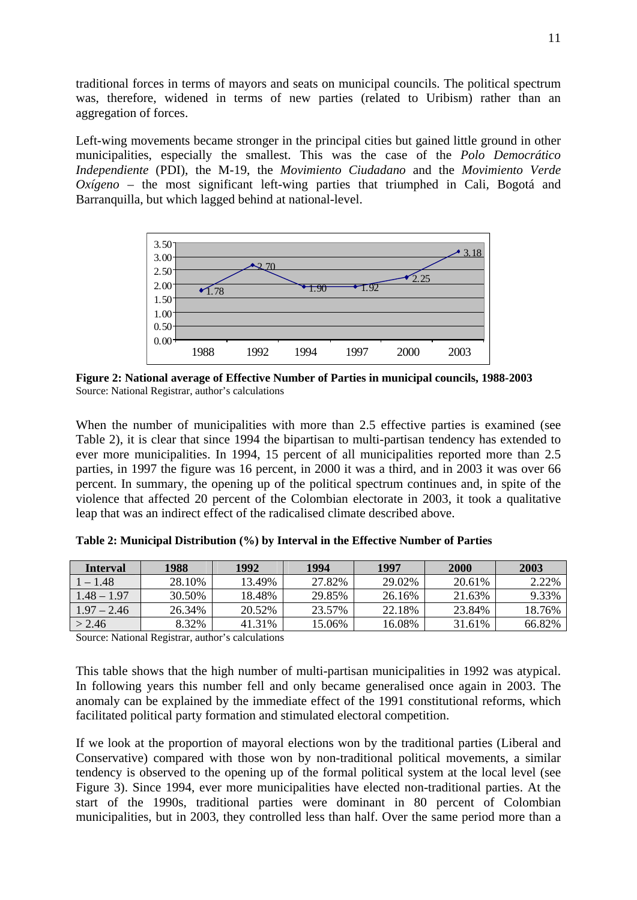traditional forces in terms of mayors and seats on municipal councils. The political spectrum was, therefore, widened in terms of new parties (related to Uribism) rather than an aggregation of forces.

Left-wing movements became stronger in the principal cities but gained little ground in other municipalities, especially the smallest. This was the case of the *Polo Democrático Independiente* (PDI), the M-19, the *Movimiento Ciudadano* and the *Movimiento Verde Oxígeno* – the most significant left-wing parties that triumphed in Cali, Bogotá and Barranquilla, but which lagged behind at national-level.



**Figure 2: National average of Effective Number of Parties in municipal councils, 1988-2003**  Source: National Registrar, author's calculations

When the number of municipalities with more than 2.5 effective parties is examined (see Table 2), it is clear that since 1994 the bipartisan to multi-partisan tendency has extended to ever more municipalities. In 1994, 15 percent of all municipalities reported more than 2.5 parties, in 1997 the figure was 16 percent, in 2000 it was a third, and in 2003 it was over 66 percent. In summary, the opening up of the political spectrum continues and, in spite of the violence that affected 20 percent of the Colombian electorate in 2003, it took a qualitative leap that was an indirect effect of the radicalised climate described above.

| Interval      | 1988   | 1992   | 1994   | 1997   | 2000   | 2003   |
|---------------|--------|--------|--------|--------|--------|--------|
| $1 - 1.48$    | 28.10% | 13.49% | 27.82% | 29.02% | 20.61% | 2.22%  |
| $1.48 - 1.97$ | 30.50% | 18.48% | 29.85% | 26.16% | 21.63% | 9.33%  |
| $1.97 - 2.46$ | 26.34% | 20.52% | 23.57% | 22.18% | 23.84% | 18.76% |
| > 2.46        | 8.32%  | 41.31% | 15.06% | 16.08% | 31.61% | 66.82% |

**Table 2: Municipal Distribution (%) by Interval in the Effective Number of Parties** 

Source: National Registrar, author's calculations

This table shows that the high number of multi-partisan municipalities in 1992 was atypical. In following years this number fell and only became generalised once again in 2003. The anomaly can be explained by the immediate effect of the 1991 constitutional reforms, which facilitated political party formation and stimulated electoral competition.

If we look at the proportion of mayoral elections won by the traditional parties (Liberal and Conservative) compared with those won by non-traditional political movements, a similar tendency is observed to the opening up of the formal political system at the local level (see Figure 3). Since 1994, ever more municipalities have elected non-traditional parties. At the start of the 1990s, traditional parties were dominant in 80 percent of Colombian municipalities, but in 2003, they controlled less than half. Over the same period more than a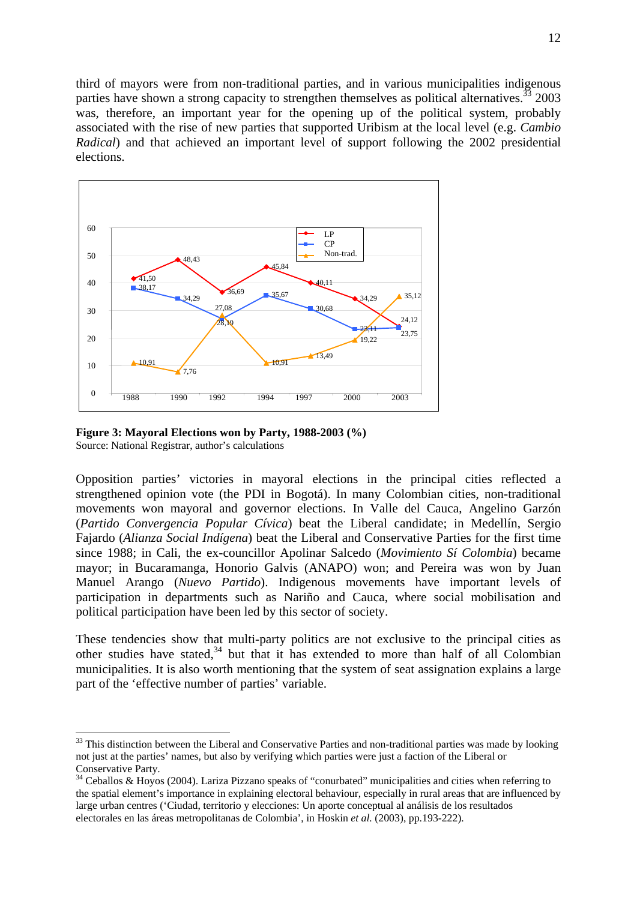third of mayors were from non-traditional parties, and in various municipalities indigenous parties have shown a strong capacity to strengthen themselves as political alternatives.<sup>33</sup> 2003 was, therefore, an important year for the opening up of the political system, probably associated with the rise of new parties that supported Uribism at the local level (e.g. *Cambio Radical*) and that achieved an important level of support following the 2002 presidential elections.



**Figure 3: Mayoral Elections won by Party, 1988-2003 (%)**  Source: National Registrar, author's calculations

 $\overline{a}$ 

Opposition parties' victories in mayoral elections in the principal cities reflected a strengthened opinion vote (the PDI in Bogotá). In many Colombian cities, non-traditional movements won mayoral and governor elections. In Valle del Cauca, Angelino Garzón (*Partido Convergencia Popular Cívica*) beat the Liberal candidate; in Medellín, Sergio Fajardo (*Alianza Social Indígena*) beat the Liberal and Conservative Parties for the first time since 1988; in Cali, the ex-councillor Apolinar Salcedo (*Movimiento Sí Colombia*) became mayor; in Bucaramanga, Honorio Galvis (ANAPO) won; and Pereira was won by Juan Manuel Arango (*Nuevo Partido*). Indigenous movements have important levels of participation in departments such as Nariño and Cauca, where social mobilisation and political participation have been led by this sector of society.

These tendencies show that multi-party politics are not exclusive to the principal cities as other studies have stated,<sup>34</sup> but that it has extended to more than half of all Colombian municipalities. It is also worth mentioning that the system of seat assignation explains a large part of the 'effective number of parties' variable.

 $33$  This distinction between the Liberal and Conservative Parties and non-traditional parties was made by looking not just at the parties' names, but also by verifying which parties were just a faction of the Liberal or Conservative Party.

 $34$  Ceballos & Hoyos (2004). Lariza Pizzano speaks of "conurbated" municipalities and cities when referring to the spatial element's importance in explaining electoral behaviour, especially in rural areas that are influenced by large urban centres ('Ciudad, territorio y elecciones: Un aporte conceptual al análisis de los resultados electorales en las áreas metropolitanas de Colombia', in Hoskin *et al.* (2003), pp.193-222).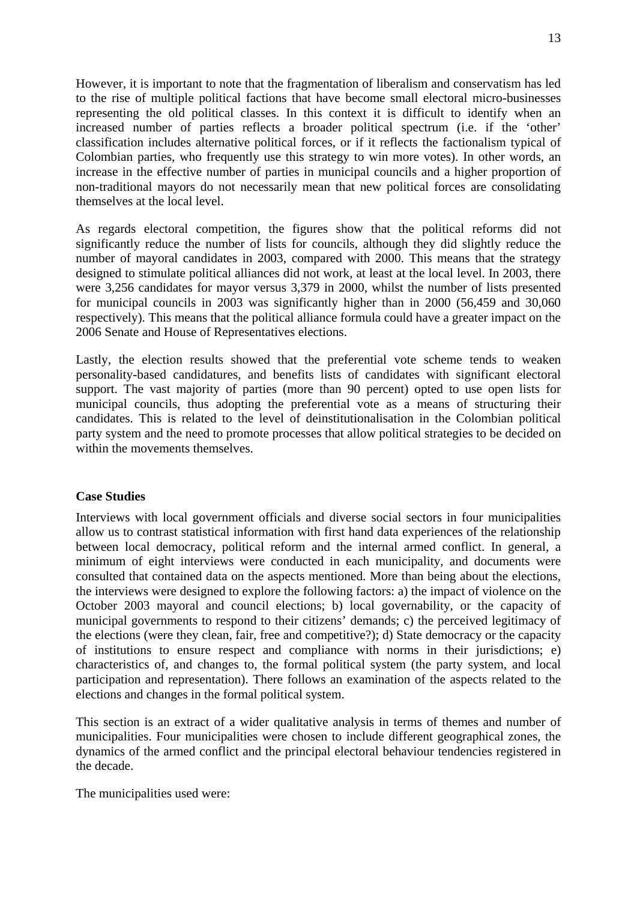However, it is important to note that the fragmentation of liberalism and conservatism has led to the rise of multiple political factions that have become small electoral micro-businesses representing the old political classes. In this context it is difficult to identify when an increased number of parties reflects a broader political spectrum (i.e. if the 'other' classification includes alternative political forces, or if it reflects the factionalism typical of Colombian parties, who frequently use this strategy to win more votes). In other words, an increase in the effective number of parties in municipal councils and a higher proportion of non-traditional mayors do not necessarily mean that new political forces are consolidating themselves at the local level.

As regards electoral competition, the figures show that the political reforms did not significantly reduce the number of lists for councils, although they did slightly reduce the number of mayoral candidates in 2003, compared with 2000. This means that the strategy designed to stimulate political alliances did not work, at least at the local level. In 2003, there were 3,256 candidates for mayor versus 3,379 in 2000, whilst the number of lists presented for municipal councils in 2003 was significantly higher than in 2000 (56,459 and 30,060 respectively). This means that the political alliance formula could have a greater impact on the 2006 Senate and House of Representatives elections.

Lastly, the election results showed that the preferential vote scheme tends to weaken personality-based candidatures, and benefits lists of candidates with significant electoral support. The vast majority of parties (more than 90 percent) opted to use open lists for municipal councils, thus adopting the preferential vote as a means of structuring their candidates. This is related to the level of deinstitutionalisation in the Colombian political party system and the need to promote processes that allow political strategies to be decided on within the movements themselves.

# **Case Studies**

Interviews with local government officials and diverse social sectors in four municipalities allow us to contrast statistical information with first hand data experiences of the relationship between local democracy, political reform and the internal armed conflict. In general, a minimum of eight interviews were conducted in each municipality, and documents were consulted that contained data on the aspects mentioned. More than being about the elections, the interviews were designed to explore the following factors: a) the impact of violence on the October 2003 mayoral and council elections; b) local governability, or the capacity of municipal governments to respond to their citizens' demands; c) the perceived legitimacy of the elections (were they clean, fair, free and competitive?); d) State democracy or the capacity of institutions to ensure respect and compliance with norms in their jurisdictions; e) characteristics of, and changes to, the formal political system (the party system, and local participation and representation). There follows an examination of the aspects related to the elections and changes in the formal political system.

This section is an extract of a wider qualitative analysis in terms of themes and number of municipalities. Four municipalities were chosen to include different geographical zones, the dynamics of the armed conflict and the principal electoral behaviour tendencies registered in the decade.

The municipalities used were: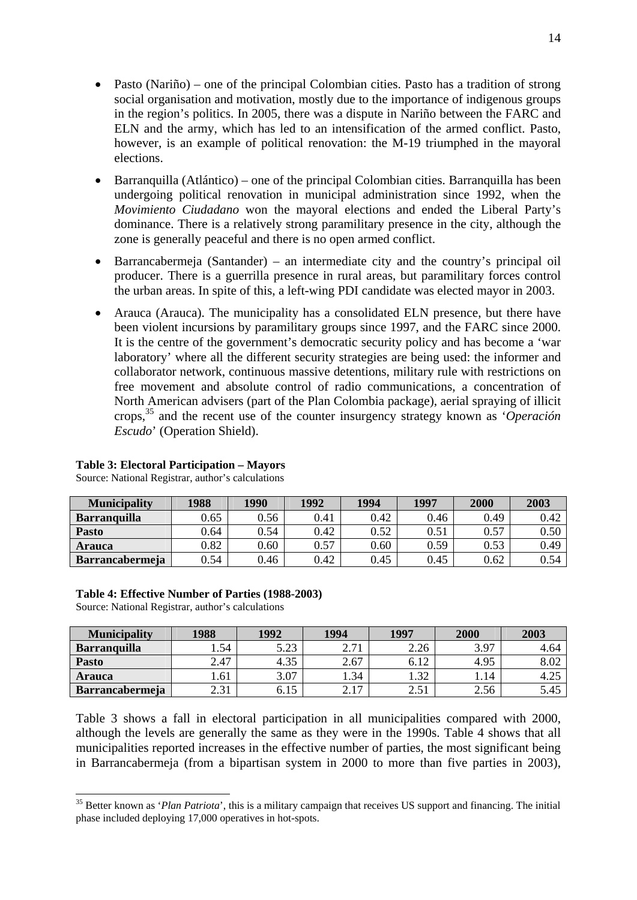- Pasto (Nariño) one of the principal Colombian cities. Pasto has a tradition of strong social organisation and motivation, mostly due to the importance of indigenous groups in the region's politics. In 2005, there was a dispute in Nariño between the FARC and ELN and the army, which has led to an intensification of the armed conflict. Pasto, however, is an example of political renovation: the M-19 triumphed in the mayoral elections.
- Barranquilla (Atlántico) one of the principal Colombian cities. Barranquilla has been undergoing political renovation in municipal administration since 1992, when the *Movimiento Ciudadano* won the mayoral elections and ended the Liberal Party's dominance. There is a relatively strong paramilitary presence in the city, although the zone is generally peaceful and there is no open armed conflict.
- Barrancabermeja (Santander) an intermediate city and the country's principal oil producer. There is a guerrilla presence in rural areas, but paramilitary forces control the urban areas. In spite of this, a left-wing PDI candidate was elected mayor in 2003.
- Arauca (Arauca). The municipality has a consolidated ELN presence, but there have been violent incursions by paramilitary groups since 1997, and the FARC since 2000. It is the centre of the government's democratic security policy and has become a 'war laboratory' where all the different security strategies are being used: the informer and collaborator network, continuous massive detentions, military rule with restrictions on free movement and absolute control of radio communications, a concentration of North American advisers (part of the Plan Colombia package), aerial spraying of illicit crops,35 and the recent use of the counter insurgency strategy known as '*Operación Escudo*' (Operation Shield).

| <b>Municipality</b>    | 1988 | 1990 | 1992 | 1994     | 1997 | 2000 | 2003 |
|------------------------|------|------|------|----------|------|------|------|
| <b>Barranquilla</b>    | 0.65 | 0.56 | 0.41 | 0.42     | 0.46 | 0.49 | 0.42 |
| <b>Pasto</b>           | 0.64 | 0.54 | 0.42 | 0.52     | 0.51 | 0.57 | 0.50 |
| <b>Arauca</b>          | 0.82 | 0.60 | 0.57 | $0.60\,$ | 0.59 | 0.53 | 0.49 |
| <b>Barrancabermeja</b> | 0.54 | 0.46 | 0.42 | 0.45     | 0.45 | 0.62 | 0.54 |

# **Table 3: Electoral Participation – Mayors**

Source: National Registrar, author's calculations

#### **Table 4: Effective Number of Parties (1988-2003)**

Source: National Registrar, author's calculations

-

| <b>Municipality</b>    | 1988  | 1992 | 1994                      | 1997           | 2000 | 2003 |
|------------------------|-------|------|---------------------------|----------------|------|------|
| <b>Barranquilla</b>    | 1.54  | 5.23 | 271                       | 2.26           | 3.97 | 4.64 |
| <b>Pasto</b>           | 2.47  | 4.35 | 2.67                      | 6.12           | 4.95 |      |
| <b>Arauca</b>          | . .61 | 3.07 | 1.34                      | $\mathfrak{D}$ | 1.14 | 4.25 |
| <b>Barrancabermeja</b> | 2.31  | 6.IJ | 217<br>$\overline{a}$ . 1 | 2.51           | 2.56 | 5.45 |

Table 3 shows a fall in electoral participation in all municipalities compared with 2000, although the levels are generally the same as they were in the 1990s. Table 4 shows that all municipalities reported increases in the effective number of parties, the most significant being in Barrancabermeja (from a bipartisan system in 2000 to more than five parties in 2003),

<sup>&</sup>lt;sup>35</sup> Better known as '*Plan Patriota*', this is a military campaign that receives US support and financing. The initial phase included deploying 17,000 operatives in hot-spots.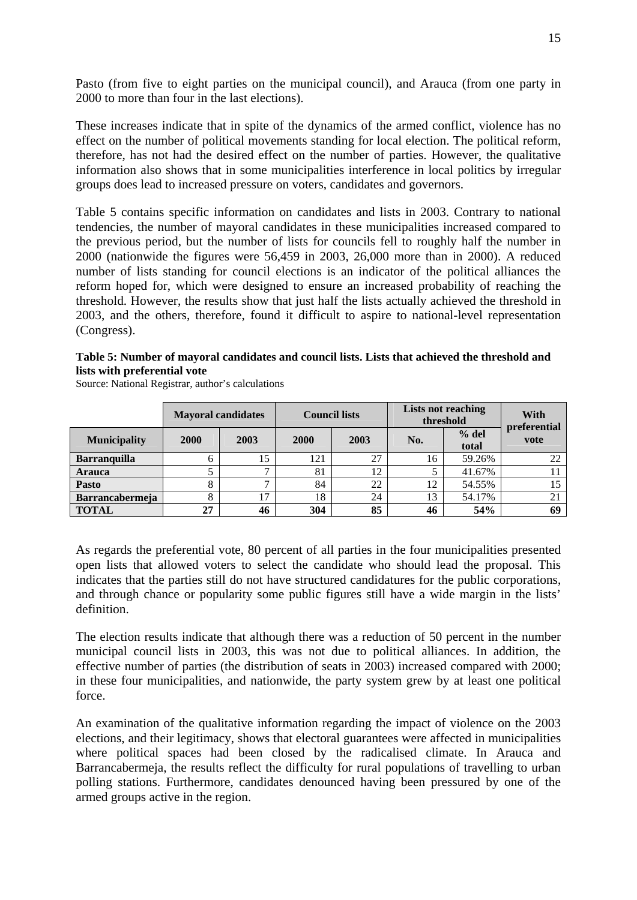Pasto (from five to eight parties on the municipal council), and Arauca (from one party in 2000 to more than four in the last elections).

These increases indicate that in spite of the dynamics of the armed conflict, violence has no effect on the number of political movements standing for local election. The political reform, therefore, has not had the desired effect on the number of parties. However, the qualitative information also shows that in some municipalities interference in local politics by irregular groups does lead to increased pressure on voters, candidates and governors.

Table 5 contains specific information on candidates and lists in 2003. Contrary to national tendencies, the number of mayoral candidates in these municipalities increased compared to the previous period, but the number of lists for councils fell to roughly half the number in 2000 (nationwide the figures were 56,459 in 2003, 26,000 more than in 2000). A reduced number of lists standing for council elections is an indicator of the political alliances the reform hoped for, which were designed to ensure an increased probability of reaching the threshold. However, the results show that just half the lists actually achieved the threshold in 2003, and the others, therefore, found it difficult to aspire to national-level representation (Congress).

#### **Table 5: Number of mayoral candidates and council lists. Lists that achieved the threshold and lists with preferential vote**

Source: National Registrar, author's calculations

|                        | <b>Mayoral candidates</b> |                | <b>Council lists</b> |      | <b>Lists not reaching</b><br>threshold | With<br>preferential |      |
|------------------------|---------------------------|----------------|----------------------|------|----------------------------------------|----------------------|------|
| <b>Municipality</b>    | 2000                      | 2003           | <b>2000</b>          | 2003 | No.                                    | $%$ del<br>total     | vote |
| <b>Barranquilla</b>    |                           | 15             | 121                  | 27   | 16                                     | 59.26%               | 22   |
| <b>Arauca</b>          |                           | -              | 81                   | 12   |                                        | 41.67%               |      |
| Pasto                  |                           | −              | 84                   | 22   | 12                                     | 54.55%               | 15   |
| <b>Barrancabermeja</b> |                           | 1 <sub>7</sub> | 18                   | 24   | 13                                     | 54.17%               | 21   |
| <b>TOTAL</b>           | 27                        | 46             | 304                  | 85   | 46                                     | 54%                  | 69   |

As regards the preferential vote, 80 percent of all parties in the four municipalities presented open lists that allowed voters to select the candidate who should lead the proposal. This indicates that the parties still do not have structured candidatures for the public corporations, and through chance or popularity some public figures still have a wide margin in the lists' definition.

The election results indicate that although there was a reduction of 50 percent in the number municipal council lists in 2003, this was not due to political alliances. In addition, the effective number of parties (the distribution of seats in 2003) increased compared with 2000; in these four municipalities, and nationwide, the party system grew by at least one political force.

An examination of the qualitative information regarding the impact of violence on the 2003 elections, and their legitimacy, shows that electoral guarantees were affected in municipalities where political spaces had been closed by the radicalised climate. In Arauca and Barrancabermeja, the results reflect the difficulty for rural populations of travelling to urban polling stations. Furthermore, candidates denounced having been pressured by one of the armed groups active in the region.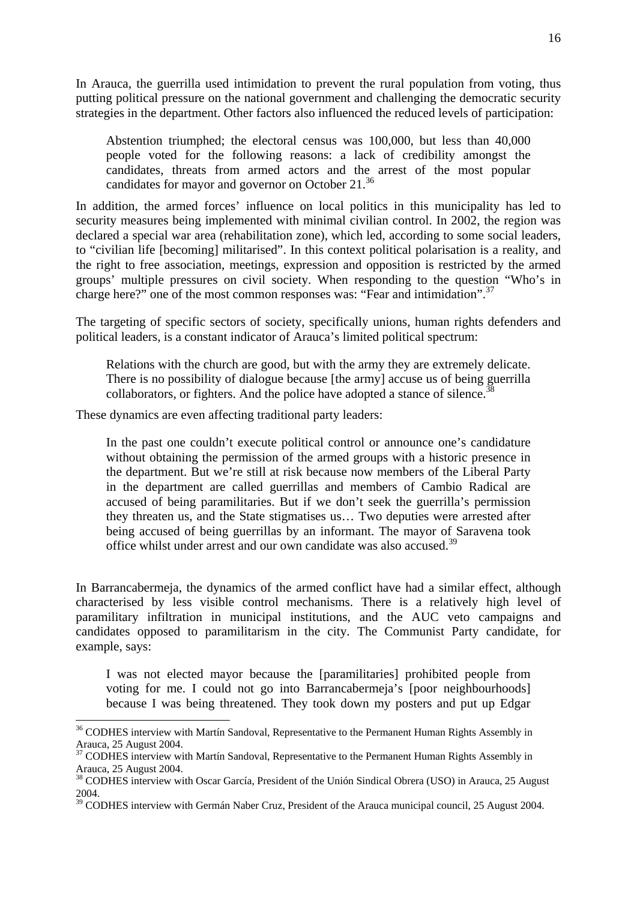In Arauca, the guerrilla used intimidation to prevent the rural population from voting, thus putting political pressure on the national government and challenging the democratic security strategies in the department. Other factors also influenced the reduced levels of participation:

Abstention triumphed; the electoral census was 100,000, but less than 40,000 people voted for the following reasons: a lack of credibility amongst the candidates, threats from armed actors and the arrest of the most popular candidates for mayor and governor on October 21.<sup>36</sup>

In addition, the armed forces' influence on local politics in this municipality has led to security measures being implemented with minimal civilian control. In 2002, the region was declared a special war area (rehabilitation zone), which led, according to some social leaders, to "civilian life [becoming] militarised". In this context political polarisation is a reality, and the right to free association, meetings, expression and opposition is restricted by the armed groups' multiple pressures on civil society. When responding to the question "Who's in charge here?" one of the most common responses was: "Fear and intimidation".<sup>37</sup>

The targeting of specific sectors of society, specifically unions, human rights defenders and political leaders, is a constant indicator of Arauca's limited political spectrum:

Relations with the church are good, but with the army they are extremely delicate. There is no possibility of dialogue because [the army] accuse us of being guerrilla collaborators, or fighters. And the police have adopted a stance of silence.<sup>3</sup>

These dynamics are even affecting traditional party leaders:

-

In the past one couldn't execute political control or announce one's candidature without obtaining the permission of the armed groups with a historic presence in the department. But we're still at risk because now members of the Liberal Party in the department are called guerrillas and members of Cambio Radical are accused of being paramilitaries. But if we don't seek the guerrilla's permission they threaten us, and the State stigmatises us… Two deputies were arrested after being accused of being guerrillas by an informant. The mayor of Saravena took office whilst under arrest and our own candidate was also accused.<sup>39</sup>

In Barrancabermeja, the dynamics of the armed conflict have had a similar effect, although characterised by less visible control mechanisms. There is a relatively high level of paramilitary infiltration in municipal institutions, and the AUC veto campaigns and candidates opposed to paramilitarism in the city. The Communist Party candidate, for example, says:

I was not elected mayor because the [paramilitaries] prohibited people from voting for me. I could not go into Barrancabermeja's [poor neighbourhoods] because I was being threatened. They took down my posters and put up Edgar

 $36$  CODHES interview with Martín Sandoval, Representative to the Permanent Human Rights Assembly in Arauca, 25 August 2004.

<sup>&</sup>lt;sup>37</sup> CODHES interview with Martín Sandoval, Representative to the Permanent Human Rights Assembly in Arauca, 25 August 2004.

<sup>&</sup>lt;sup>38</sup> CODHES interview with Oscar García, President of the Unión Sindical Obrera (USO) in Arauca, 25 August 2004.

<sup>&</sup>lt;sup>39</sup> CODHES interview with Germán Naber Cruz, President of the Arauca municipal council, 25 August 2004.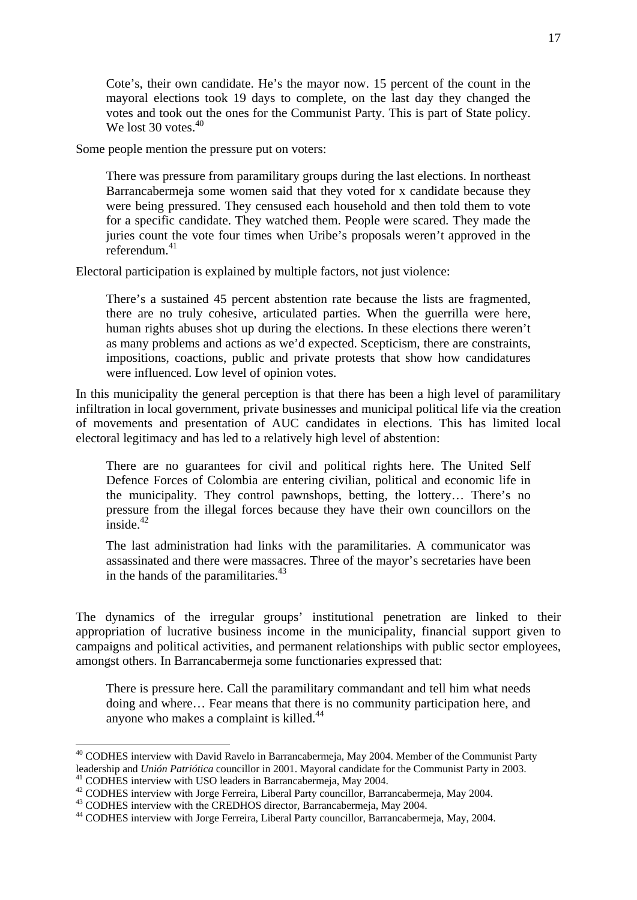Cote's, their own candidate. He's the mayor now. 15 percent of the count in the mayoral elections took 19 days to complete, on the last day they changed the votes and took out the ones for the Communist Party. This is part of State policy. We lost 30 votes.<sup>40</sup>

Some people mention the pressure put on voters:

There was pressure from paramilitary groups during the last elections. In northeast Barrancabermeja some women said that they voted for x candidate because they were being pressured. They censused each household and then told them to vote for a specific candidate. They watched them. People were scared. They made the juries count the vote four times when Uribe's proposals weren't approved in the  $referendum<sup>41</sup>$ 

Electoral participation is explained by multiple factors, not just violence:

There's a sustained 45 percent abstention rate because the lists are fragmented, there are no truly cohesive, articulated parties. When the guerrilla were here, human rights abuses shot up during the elections. In these elections there weren't as many problems and actions as we'd expected. Scepticism, there are constraints, impositions, coactions, public and private protests that show how candidatures were influenced. Low level of opinion votes.

In this municipality the general perception is that there has been a high level of paramilitary infiltration in local government, private businesses and municipal political life via the creation of movements and presentation of AUC candidates in elections. This has limited local electoral legitimacy and has led to a relatively high level of abstention:

There are no guarantees for civil and political rights here. The United Self Defence Forces of Colombia are entering civilian, political and economic life in the municipality. They control pawnshops, betting, the lottery… There's no pressure from the illegal forces because they have their own councillors on the inside $^{42}$ 

The last administration had links with the paramilitaries. A communicator was assassinated and there were massacres. Three of the mayor's secretaries have been in the hands of the paramilitaries. $43$ 

The dynamics of the irregular groups' institutional penetration are linked to their appropriation of lucrative business income in the municipality, financial support given to campaigns and political activities, and permanent relationships with public sector employees, amongst others. In Barrancabermeja some functionaries expressed that:

There is pressure here. Call the paramilitary commandant and tell him what needs doing and where… Fear means that there is no community participation here, and anyone who makes a complaint is killed.<sup>44</sup>

<sup>&</sup>lt;sup>40</sup> CODHES interview with David Ravelo in Barrancabermeja, May 2004. Member of the Communist Party leadership and *Unión Patriótica* councillor in 2001. Mayoral candidate for the Communist Party in 2003.<br><sup>41</sup> CODHES interview with USO leaders in Barrancabermeja, May 2004.<br><sup>42</sup> CODHES interview with Jorge Ferreira, Liber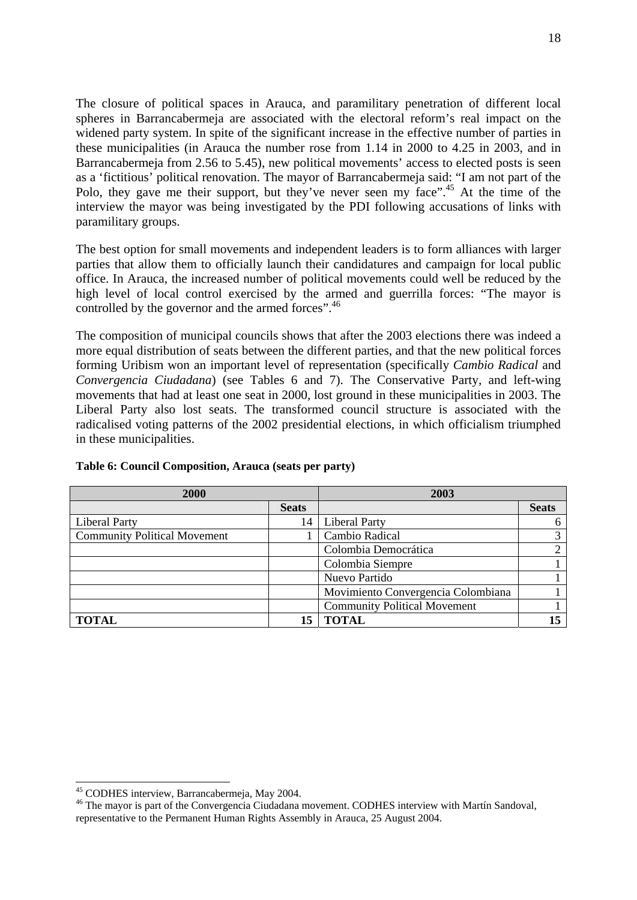The closure of political spaces in Arauca, and paramilitary penetration of different local spheres in Barrancabermeja are associated with the electoral reform's real impact on the widened party system. In spite of the significant increase in the effective number of parties in these municipalities (in Arauca the number rose from 1.14 in 2000 to 4.25 in 2003, and in Barrancabermeja from 2.56 to 5.45), new political movements' access to elected posts is seen as a 'fictitious' political renovation. The mayor of Barrancabermeja said: "I am not part of the Polo, they gave me their support, but they've never seen my face".<sup>45</sup> At the time of the interview the mayor was being investigated by the PDI following accusations of links with paramilitary groups.

The best option for small movements and independent leaders is to form alliances with larger parties that allow them to officially launch their candidatures and campaign for local public office. In Arauca, the increased number of political movements could well be reduced by the high level of local control exercised by the armed and guerrilla forces: "The mayor is controlled by the governor and the armed forces".<sup>46</sup>

The composition of municipal councils shows that after the 2003 elections there was indeed a more equal distribution of seats between the different parties, and that the new political forces forming Uribism won an important level of representation (specifically *Cambio Radical* and *Convergencia Ciudadana*) (see Tables 6 and 7). The Conservative Party, and left-wing movements that had at least one seat in 2000, lost ground in these municipalities in 2003. The Liberal Party also lost seats. The transformed council structure is associated with the radicalised voting patterns of the 2002 presidential elections, in which officialism triumphed in these municipalities.

| 2000                                |              | 2003                                |              |  |
|-------------------------------------|--------------|-------------------------------------|--------------|--|
|                                     | <b>Seats</b> |                                     | <b>Seats</b> |  |
| <b>Liberal Party</b>                | 14           | <b>Liberal Party</b>                | 6            |  |
| <b>Community Political Movement</b> |              | Cambio Radical                      |              |  |
|                                     |              | Colombia Democrática                |              |  |
|                                     |              | Colombia Siempre                    |              |  |
|                                     |              | Nuevo Partido                       |              |  |
|                                     |              | Movimiento Convergencia Colombiana  |              |  |
|                                     |              | <b>Community Political Movement</b> |              |  |
| <b>TOTAL</b>                        | 15           | TOTAL                               |              |  |

#### **Table 6: Council Composition, Arauca (seats per party)**

<sup>45</sup> CODHES interview, Barrancabermeja, May 2004.

<sup>&</sup>lt;sup>46</sup> The mayor is part of the Convergencia Ciudadana movement. CODHES interview with Martín Sandoval, representative to the Permanent Human Rights Assembly in Arauca, 25 August 2004.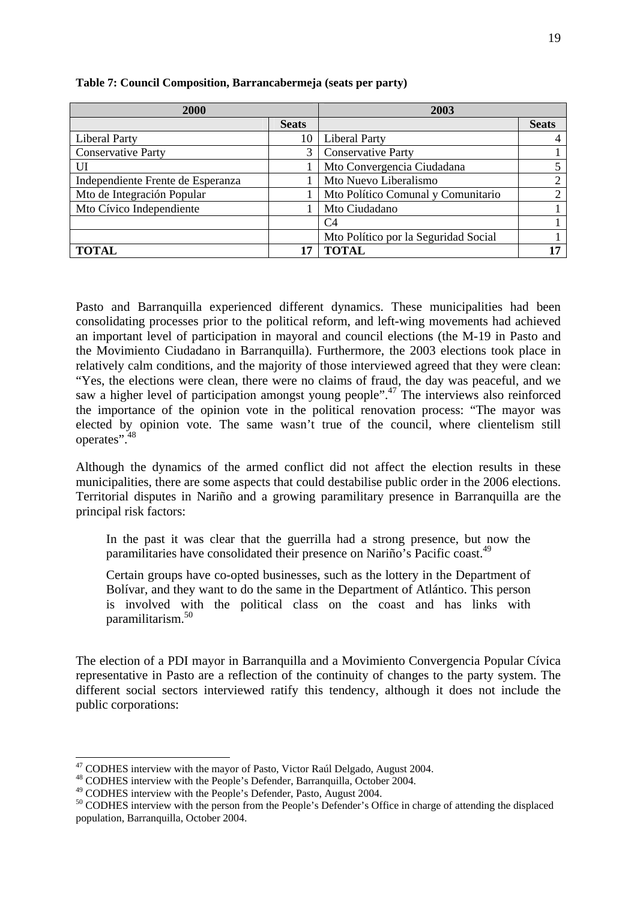| 2000                              |              | 2003                                 |              |  |
|-----------------------------------|--------------|--------------------------------------|--------------|--|
|                                   | <b>Seats</b> |                                      | <b>Seats</b> |  |
| <b>Liberal Party</b>              | 10           | <b>Liberal Party</b>                 |              |  |
| <b>Conservative Party</b>         | 3            | <b>Conservative Party</b>            |              |  |
| UI                                |              | Mto Convergencia Ciudadana           |              |  |
| Independiente Frente de Esperanza |              | Mto Nuevo Liberalismo                | ◠            |  |
| Mto de Integración Popular        |              | Mto Político Comunal y Comunitario   | ◠            |  |
| Mto Cívico Independiente          |              | Mto Ciudadano                        |              |  |
|                                   |              | C4                                   |              |  |
|                                   |              | Mto Político por la Seguridad Social |              |  |
| <b>TOTAL</b>                      |              | TOTAL                                |              |  |

#### **Table 7: Council Composition, Barrancabermeja (seats per party)**

Pasto and Barranquilla experienced different dynamics. These municipalities had been consolidating processes prior to the political reform, and left-wing movements had achieved an important level of participation in mayoral and council elections (the M-19 in Pasto and the Movimiento Ciudadano in Barranquilla). Furthermore, the 2003 elections took place in relatively calm conditions, and the majority of those interviewed agreed that they were clean: "Yes, the elections were clean, there were no claims of fraud, the day was peaceful, and we saw a higher level of participation amongst young people".<sup>47</sup> The interviews also reinforced the importance of the opinion vote in the political renovation process: "The mayor was elected by opinion vote. The same wasn't true of the council, where clientelism still operates".<sup>48</sup>

Although the dynamics of the armed conflict did not affect the election results in these municipalities, there are some aspects that could destabilise public order in the 2006 elections. Territorial disputes in Nariño and a growing paramilitary presence in Barranquilla are the principal risk factors:

In the past it was clear that the guerrilla had a strong presence, but now the paramilitaries have consolidated their presence on Nariño's Pacific coast.<sup>49</sup>

Certain groups have co-opted businesses, such as the lottery in the Department of Bolívar, and they want to do the same in the Department of Atlántico. This person is involved with the political class on the coast and has links with paramilitarism.50

The election of a PDI mayor in Barranquilla and a Movimiento Convergencia Popular Cívica representative in Pasto are a reflection of the continuity of changes to the party system. The different social sectors interviewed ratify this tendency, although it does not include the public corporations:

 $47$  CODHES interview with the mayor of Pasto, Victor Raúl Delgado, August 2004.

 $^{48}$  CODHES interview with the People's Defender, Barranquilla, October 2004.<br> $^{49}$  CODHES interview with the People's Defender, Pasto, August 2004.

 $50$  CODHES interview with the person from the People's Defender's Office in charge of attending the displaced population, Barranquilla, October 2004.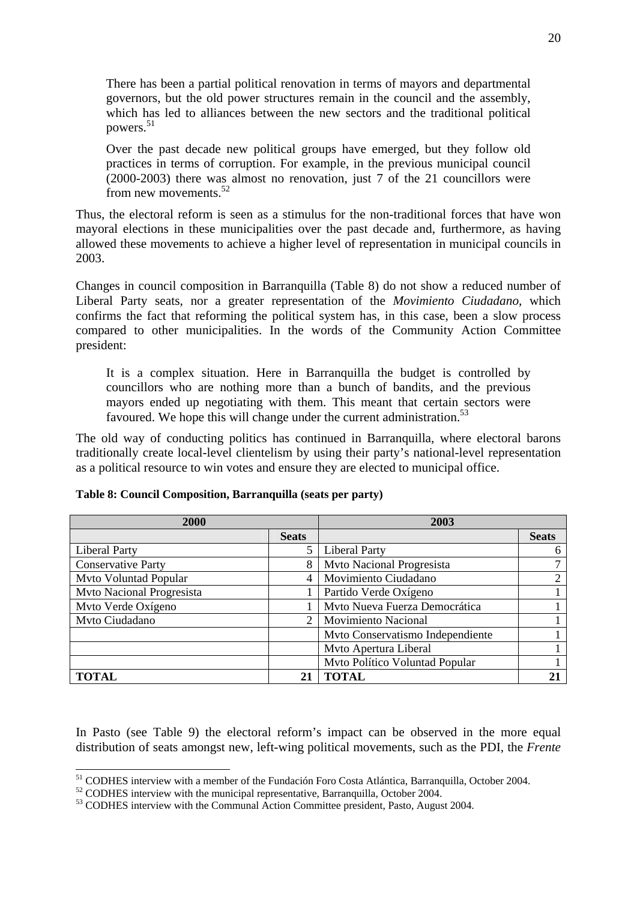There has been a partial political renovation in terms of mayors and departmental governors, but the old power structures remain in the council and the assembly, which has led to alliances between the new sectors and the traditional political powers.<sup>51</sup>

Over the past decade new political groups have emerged, but they follow old practices in terms of corruption. For example, in the previous municipal council (2000-2003) there was almost no renovation, just 7 of the 21 councillors were from new movements.<sup>52</sup>

Thus, the electoral reform is seen as a stimulus for the non-traditional forces that have won mayoral elections in these municipalities over the past decade and, furthermore, as having allowed these movements to achieve a higher level of representation in municipal councils in 2003.

Changes in council composition in Barranquilla (Table 8) do not show a reduced number of Liberal Party seats, nor a greater representation of the *Movimiento Ciudadano*, which confirms the fact that reforming the political system has, in this case, been a slow process compared to other municipalities. In the words of the Community Action Committee president:

It is a complex situation. Here in Barranquilla the budget is controlled by councillors who are nothing more than a bunch of bandits, and the previous mayors ended up negotiating with them. This meant that certain sectors were favoured. We hope this will change under the current administration.<sup>53</sup>

The old way of conducting politics has continued in Barranquilla, where electoral barons traditionally create local-level clientelism by using their party's national-level representation as a political resource to win votes and ensure they are elected to municipal office.

| 2000                             |                             | 2003                             |                |  |
|----------------------------------|-----------------------------|----------------------------------|----------------|--|
|                                  | <b>Seats</b>                |                                  | <b>Seats</b>   |  |
| <b>Liberal Party</b>             | 5                           | <b>Liberal Party</b>             | 6              |  |
| <b>Conservative Party</b>        | 8                           | Mvto Nacional Progresista        |                |  |
| Mvto Voluntad Popular            | $\overline{4}$              | Movimiento Ciudadano             | $\overline{2}$ |  |
| <b>Mvto Nacional Progresista</b> |                             | Partido Verde Oxígeno            |                |  |
| Mvto Verde Oxígeno               |                             | Mvto Nueva Fuerza Democrática    |                |  |
| Mvto Ciudadano                   | $\mathcal{D}_{\mathcal{L}}$ | <b>Movimiento Nacional</b>       |                |  |
|                                  |                             | Mvto Conservatismo Independiente |                |  |
|                                  |                             | Mvto Apertura Liberal            |                |  |
|                                  |                             | Mvto Político Voluntad Popular   |                |  |
| <b>TOTAL</b>                     | 21                          | <b>TOTAL</b>                     |                |  |

|  | Table 8: Council Composition, Barranquilla (seats per party) |  |  |
|--|--------------------------------------------------------------|--|--|
|  |                                                              |  |  |

In Pasto (see Table 9) the electoral reform's impact can be observed in the more equal distribution of seats amongst new, left-wing political movements, such as the PDI, the *Frente* 

<sup>&</sup>lt;sup>51</sup> CODHES interview with a member of the Fundación Foro Costa Atlántica, Barranguilla, October 2004.

 $52$  CODHES interview with the municipal representative, Barranquilla, October 2004.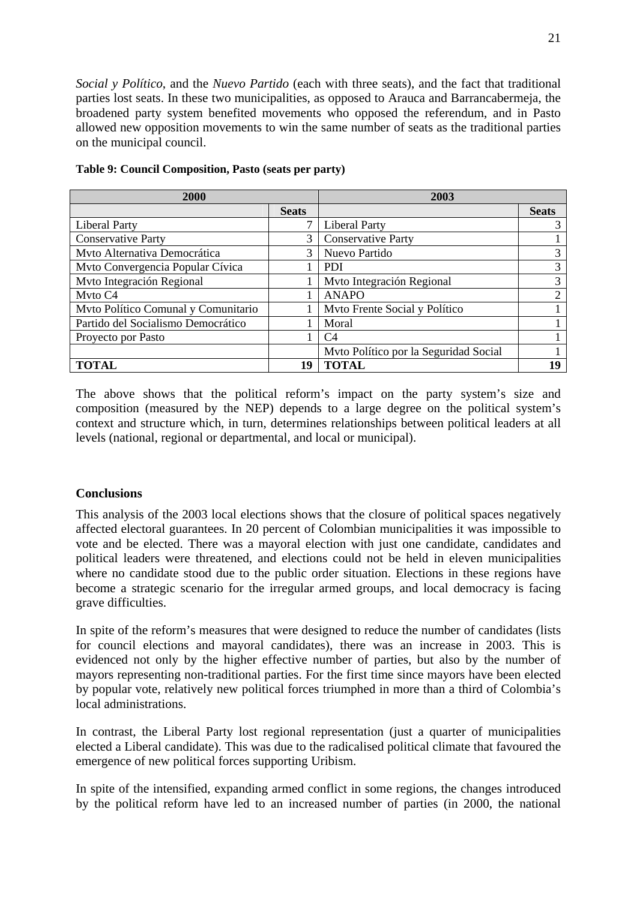*Social y Político*, and the *Nuevo Partido* (each with three seats), and the fact that traditional parties lost seats. In these two municipalities, as opposed to Arauca and Barrancabermeja, the broadened party system benefited movements who opposed the referendum, and in Pasto allowed new opposition movements to win the same number of seats as the traditional parties on the municipal council.

| 2000                                |              | 2003                                  |              |  |
|-------------------------------------|--------------|---------------------------------------|--------------|--|
|                                     | <b>Seats</b> |                                       | <b>Seats</b> |  |
| <b>Liberal Party</b>                |              | <b>Liberal Party</b>                  | 3            |  |
| <b>Conservative Party</b>           | 3            | <b>Conservative Party</b>             |              |  |
| Mvto Alternativa Democrática        | 3            | Nuevo Partido                         | 3            |  |
| Mvto Convergencia Popular Cívica    |              | <b>PDI</b>                            | 3            |  |
| Mvto Integración Regional           |              | Mvto Integración Regional             | 3            |  |
| Myto C4                             |              | ANAPO                                 | ∍            |  |
| Myto Político Comunal y Comunitario |              | Myto Frente Social y Político         |              |  |
| Partido del Socialismo Democrático  |              | Moral                                 |              |  |
| Proyecto por Pasto                  |              | C4                                    |              |  |
|                                     |              | Mvto Político por la Seguridad Social |              |  |
| TOTAL                               | 19           | <b>TOTAL</b>                          |              |  |

| Table 9: Council Composition, Pasto (seats per party) |  |  |  |  |  |  |  |
|-------------------------------------------------------|--|--|--|--|--|--|--|
|-------------------------------------------------------|--|--|--|--|--|--|--|

The above shows that the political reform's impact on the party system's size and composition (measured by the NEP) depends to a large degree on the political system's context and structure which, in turn, determines relationships between political leaders at all levels (national, regional or departmental, and local or municipal).

## **Conclusions**

This analysis of the 2003 local elections shows that the closure of political spaces negatively affected electoral guarantees. In 20 percent of Colombian municipalities it was impossible to vote and be elected. There was a mayoral election with just one candidate, candidates and political leaders were threatened, and elections could not be held in eleven municipalities where no candidate stood due to the public order situation. Elections in these regions have become a strategic scenario for the irregular armed groups, and local democracy is facing grave difficulties.

In spite of the reform's measures that were designed to reduce the number of candidates (lists for council elections and mayoral candidates), there was an increase in 2003. This is evidenced not only by the higher effective number of parties, but also by the number of mayors representing non-traditional parties. For the first time since mayors have been elected by popular vote, relatively new political forces triumphed in more than a third of Colombia's local administrations.

In contrast, the Liberal Party lost regional representation (just a quarter of municipalities elected a Liberal candidate). This was due to the radicalised political climate that favoured the emergence of new political forces supporting Uribism.

In spite of the intensified, expanding armed conflict in some regions, the changes introduced by the political reform have led to an increased number of parties (in 2000, the national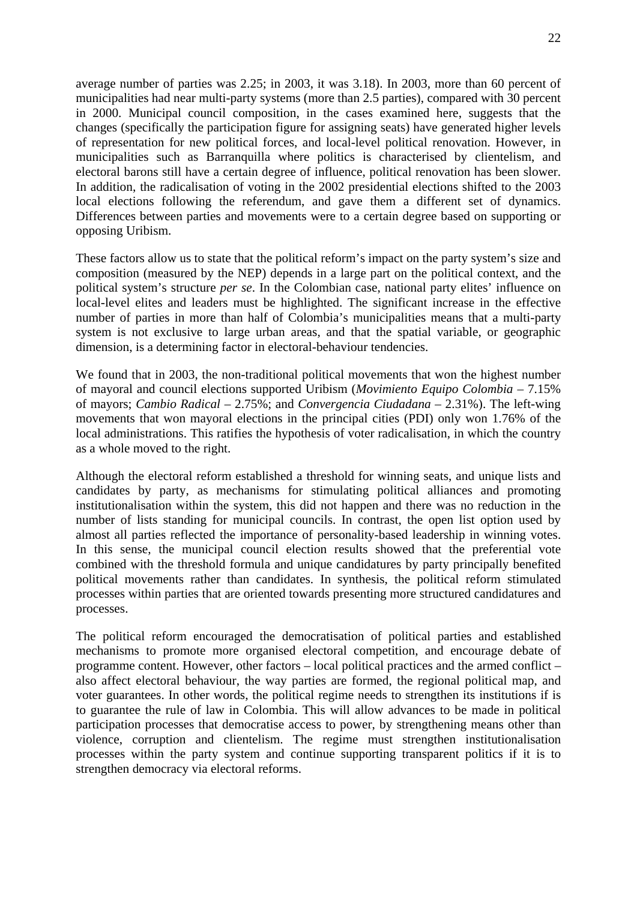average number of parties was 2.25; in 2003, it was 3.18). In 2003, more than 60 percent of municipalities had near multi-party systems (more than 2.5 parties), compared with 30 percent in 2000. Municipal council composition, in the cases examined here, suggests that the changes (specifically the participation figure for assigning seats) have generated higher levels of representation for new political forces, and local-level political renovation. However, in municipalities such as Barranquilla where politics is characterised by clientelism, and electoral barons still have a certain degree of influence, political renovation has been slower. In addition, the radicalisation of voting in the 2002 presidential elections shifted to the 2003 local elections following the referendum, and gave them a different set of dynamics. Differences between parties and movements were to a certain degree based on supporting or opposing Uribism.

These factors allow us to state that the political reform's impact on the party system's size and composition (measured by the NEP) depends in a large part on the political context, and the political system's structure *per se*. In the Colombian case, national party elites' influence on local-level elites and leaders must be highlighted. The significant increase in the effective number of parties in more than half of Colombia's municipalities means that a multi-party system is not exclusive to large urban areas, and that the spatial variable, or geographic dimension, is a determining factor in electoral-behaviour tendencies.

We found that in 2003, the non-traditional political movements that won the highest number of mayoral and council elections supported Uribism (*Movimiento Equipo Colombia* – 7.15% of mayors; *Cambio Radical* – 2.75%; and *Convergencia Ciudadana* – 2.31%). The left-wing movements that won mayoral elections in the principal cities (PDI) only won 1.76% of the local administrations. This ratifies the hypothesis of voter radicalisation, in which the country as a whole moved to the right.

Although the electoral reform established a threshold for winning seats, and unique lists and candidates by party, as mechanisms for stimulating political alliances and promoting institutionalisation within the system, this did not happen and there was no reduction in the number of lists standing for municipal councils. In contrast, the open list option used by almost all parties reflected the importance of personality-based leadership in winning votes. In this sense, the municipal council election results showed that the preferential vote combined with the threshold formula and unique candidatures by party principally benefited political movements rather than candidates. In synthesis, the political reform stimulated processes within parties that are oriented towards presenting more structured candidatures and processes.

The political reform encouraged the democratisation of political parties and established mechanisms to promote more organised electoral competition, and encourage debate of programme content. However, other factors – local political practices and the armed conflict – also affect electoral behaviour, the way parties are formed, the regional political map, and voter guarantees. In other words, the political regime needs to strengthen its institutions if is to guarantee the rule of law in Colombia. This will allow advances to be made in political participation processes that democratise access to power, by strengthening means other than violence, corruption and clientelism. The regime must strengthen institutionalisation processes within the party system and continue supporting transparent politics if it is to strengthen democracy via electoral reforms.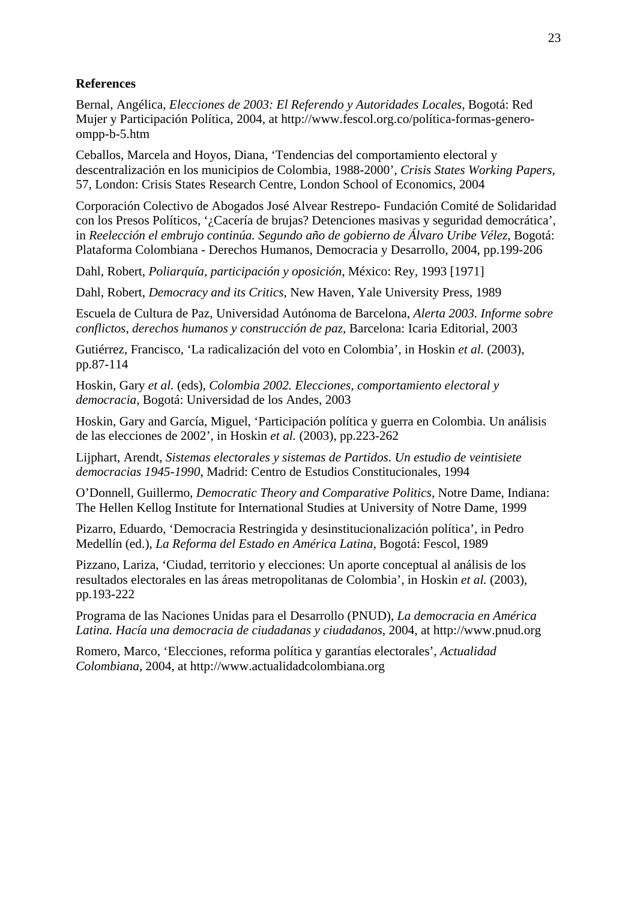# **References**

Bernal, Angélica, *Elecciones de 2003: El Referendo y Autoridades Locales*, Bogotá: Red Mujer y Participación Política, 2004, at http://www.fescol.org.co/política-formas-generoompp-b-5.htm

Ceballos, Marcela and Hoyos, Diana, 'Tendencias del comportamiento electoral y descentralización en los municipios de Colombia, 1988-2000', *Crisis States Working Papers*, 57, London: Crisis States Research Centre, London School of Economics, 2004

Corporación Colectivo de Abogados José Alvear Restrepo- Fundación Comité de Solidaridad con los Presos Políticos, '¿Cacería de brujas? Detenciones masivas y seguridad democrática', in *Reelección el embrujo continúa. Segundo año de gobierno de Álvaro Uribe Vélez*, Bogotá: Plataforma Colombiana - Derechos Humanos, Democracia y Desarrollo, 2004, pp.199-206

Dahl, Robert, *Poliarquía, participación y oposición*, México: Rey, 1993 [1971]

Dahl, Robert, *Democracy and its Critics*, New Haven, Yale University Press, 1989

Escuela de Cultura de Paz, Universidad Autónoma de Barcelona, *Alerta 2003. Informe sobre conflictos, derechos humanos y construcción de paz*, Barcelona: Icaria Editorial, 2003

Gutiérrez, Francisco, 'La radicalización del voto en Colombia', in Hoskin *et al.* (2003), pp.87-114

Hoskin, Gary *et al.* (eds), *Colombia 2002. Elecciones, comportamiento electoral y democracia*, Bogotá: Universidad de los Andes, 2003

Hoskin, Gary and García, Miguel, 'Participación política y guerra en Colombia. Un análisis de las elecciones de 2002', in Hoskin *et al.* (2003), pp.223-262

Lijphart, Arendt, *Sistemas electorales y sistemas de Partidos. Un estudio de veintisiete democracias 1945-1990*, Madrid: Centro de Estudios Constitucionales, 1994

O'Donnell, Guillermo, *Democratic Theory and Comparative Politics*, Notre Dame, Indiana: The Hellen Kellog Institute for International Studies at University of Notre Dame, 1999

Pizarro, Eduardo, 'Democracia Restringida y desinstitucionalización política', in Pedro Medellín (ed.), *La Reforma del Estado en América Latina*, Bogotá: Fescol, 1989

Pizzano, Lariza, 'Ciudad, territorio y elecciones: Un aporte conceptual al análisis de los resultados electorales en las áreas metropolitanas de Colombia', in Hoskin *et al.* (2003), pp.193-222

Programa de las Naciones Unidas para el Desarrollo (PNUD), *La democracia en América Latina. Hacía una democracia de ciudadanas y ciudadanos*, 2004, at http://www.pnud.org

Romero, Marco, 'Elecciones, reforma política y garantías electorales', *Actualidad Colombiana*, 2004, at http://www.actualidadcolombiana.org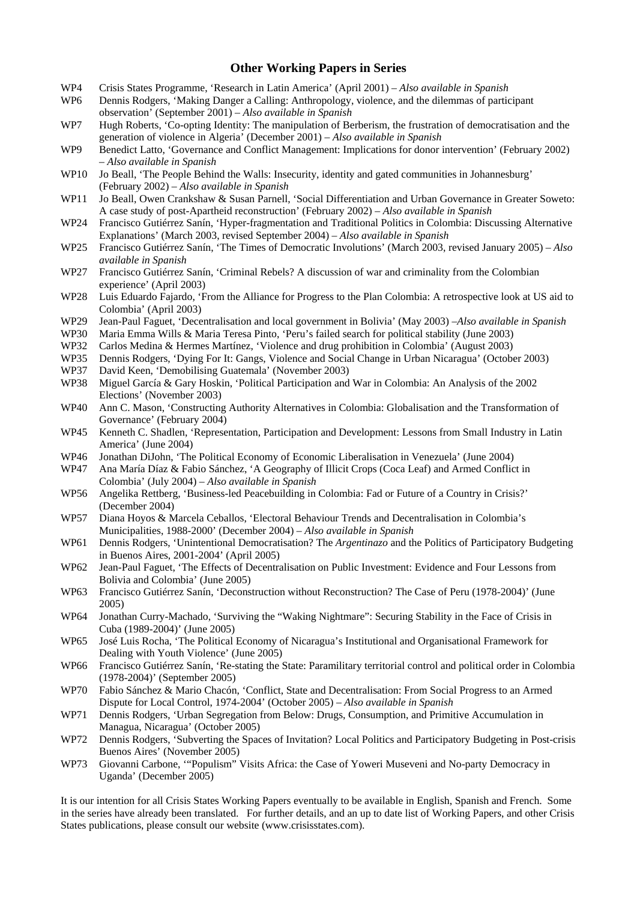#### **Other Working Papers in Series**

- WP4 Crisis States Programme, 'Research in Latin America' (April 2001) *Also available in Spanish*
- WP6 Dennis Rodgers, 'Making Danger a Calling: Anthropology, violence, and the dilemmas of participant observation' (September 2001) – *Also available in Spanish*
- WP7 Hugh Roberts, 'Co-opting Identity: The manipulation of Berberism, the frustration of democratisation and the generation of violence in Algeria' (December 2001) – *Also available in Spanish*
- WP9 Benedict Latto, 'Governance and Conflict Management: Implications for donor intervention' (February 2002) – *Also available in Spanish*
- WP10 Jo Beall, 'The People Behind the Walls: Insecurity, identity and gated communities in Johannesburg' (February 2002) – *Also available in Spanish*
- WP11 Jo Beall, Owen Crankshaw & Susan Parnell, 'Social Differentiation and Urban Governance in Greater Soweto: A case study of post-Apartheid reconstruction' (February 2002) – *Also available in Spanish*
- WP24 Francisco Gutiérrez Sanín, 'Hyper-fragmentation and Traditional Politics in Colombia: Discussing Alternative Explanations' (March 2003, revised September 2004) – *Also available in Spanish*
- WP25 Francisco Gutiérrez Sanín, 'The Times of Democratic Involutions' (March 2003, revised January 2005) *Also available in Spanish*
- WP27 Francisco Gutiérrez Sanín, 'Criminal Rebels? A discussion of war and criminality from the Colombian experience' (April 2003)
- WP28 Luis Eduardo Fajardo, 'From the Alliance for Progress to the Plan Colombia: A retrospective look at US aid to Colombia' (April 2003)
- WP29 Jean-Paul Faguet, 'Decentralisation and local government in Bolivia' (May 2003) –*Also available in Spanish*
- WP30 Maria Emma Wills & Maria Teresa Pinto, 'Peru's failed search for political stability (June 2003)
- WP32 Carlos Medina & Hermes Martínez, 'Violence and drug prohibition in Colombia' (August 2003)
- WP35 Dennis Rodgers, 'Dying For It: Gangs, Violence and Social Change in Urban Nicaragua' (October 2003)
- WP37 David Keen, 'Demobilising Guatemala' (November 2003)
- WP38 Miguel García & Gary Hoskin, 'Political Participation and War in Colombia: An Analysis of the 2002 Elections' (November 2003)
- WP40 Ann C. Mason, 'Constructing Authority Alternatives in Colombia: Globalisation and the Transformation of Governance' (February 2004)
- WP45 Kenneth C. Shadlen, 'Representation, Participation and Development: Lessons from Small Industry in Latin America' (June 2004)
- WP46 Jonathan DiJohn, 'The Political Economy of Economic Liberalisation in Venezuela' (June 2004)
- WP47 Ana María Díaz & Fabio Sánchez, 'A Geography of Illicit Crops (Coca Leaf) and Armed Conflict in Colombia' (July 2004) – *Also available in Spanish*
- WP56 Angelika Rettberg, 'Business-led Peacebuilding in Colombia: Fad or Future of a Country in Crisis?' (December 2004)
- WP57 Diana Hoyos & Marcela Ceballos, 'Electoral Behaviour Trends and Decentralisation in Colombia's Municipalities, 1988-2000' (December 2004) – *Also available in Spanish*
- WP61 Dennis Rodgers, 'Unintentional Democratisation? The *Argentinazo* and the Politics of Participatory Budgeting in Buenos Aires, 2001-2004' (April 2005)
- WP62 Jean-Paul Faguet, 'The Effects of Decentralisation on Public Investment: Evidence and Four Lessons from Bolivia and Colombia' (June 2005)
- WP63 Francisco Gutiérrez Sanín, 'Deconstruction without Reconstruction? The Case of Peru (1978-2004)' (June 2005)
- WP64 Jonathan Curry-Machado, 'Surviving the "Waking Nightmare": Securing Stability in the Face of Crisis in Cuba (1989-2004)' (June 2005)
- WP65 José Luis Rocha, 'The Political Economy of Nicaragua's Institutional and Organisational Framework for Dealing with Youth Violence' (June 2005)
- WP66 Francisco Gutiérrez Sanín, 'Re-stating the State: Paramilitary territorial control and political order in Colombia (1978-2004)' (September 2005)
- WP70 Fabio Sánchez & Mario Chacón, 'Conflict, State and Decentralisation: From Social Progress to an Armed Dispute for Local Control, 1974-2004' (October 2005) – *Also available in Spanish*
- WP71 Dennis Rodgers, 'Urban Segregation from Below: Drugs, Consumption, and Primitive Accumulation in Managua, Nicaragua' (October 2005)
- WP72 Dennis Rodgers, 'Subverting the Spaces of Invitation? Local Politics and Participatory Budgeting in Post-crisis Buenos Aires' (November 2005)
- WP73 Giovanni Carbone, '"Populism" Visits Africa: the Case of Yoweri Museveni and No-party Democracy in Uganda' (December 2005)

It is our intention for all Crisis States Working Papers eventually to be available in English, Spanish and French. Some in the series have already been translated. For further details, and an up to date list of Working Papers, and other Crisis States publications, please consult our website (www.crisisstates.com).